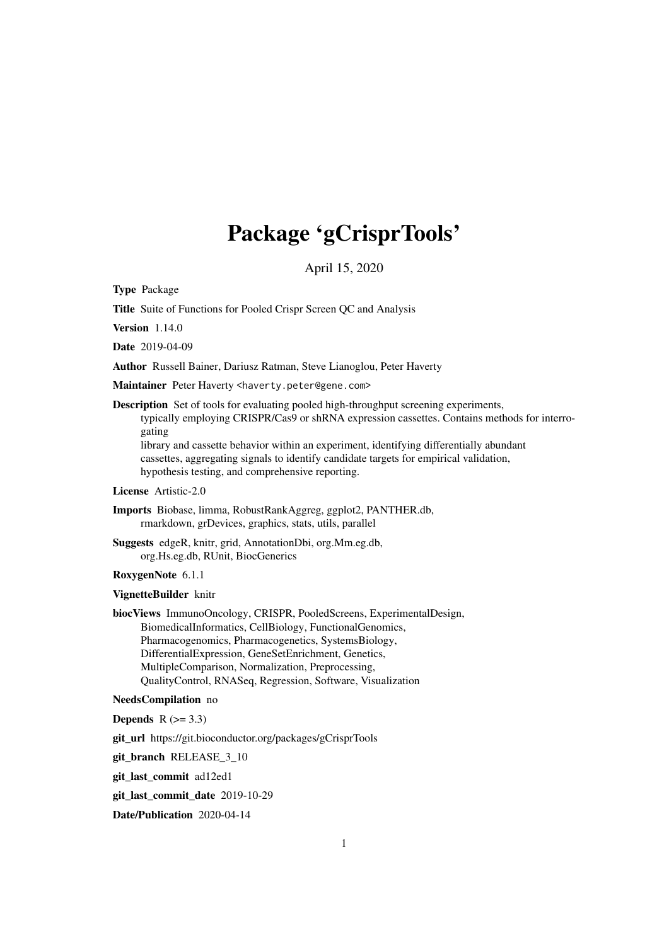# Package 'gCrisprTools'

April 15, 2020

<span id="page-0-0"></span>Type Package

Title Suite of Functions for Pooled Crispr Screen QC and Analysis

Version 1.14.0

Date 2019-04-09

Author Russell Bainer, Dariusz Ratman, Steve Lianoglou, Peter Haverty

Maintainer Peter Haverty <haverty.peter@gene.com>

Description Set of tools for evaluating pooled high-throughput screening experiments, typically employing CRISPR/Cas9 or shRNA expression cassettes. Contains methods for interrogating

library and cassette behavior within an experiment, identifying differentially abundant cassettes, aggregating signals to identify candidate targets for empirical validation, hypothesis testing, and comprehensive reporting.

License Artistic-2.0

Imports Biobase, limma, RobustRankAggreg, ggplot2, PANTHER.db, rmarkdown, grDevices, graphics, stats, utils, parallel

Suggests edgeR, knitr, grid, AnnotationDbi, org.Mm.eg.db, org.Hs.eg.db, RUnit, BiocGenerics

RoxygenNote 6.1.1

VignetteBuilder knitr

biocViews ImmunoOncology, CRISPR, PooledScreens, ExperimentalDesign, BiomedicalInformatics, CellBiology, FunctionalGenomics, Pharmacogenomics, Pharmacogenetics, SystemsBiology, DifferentialExpression, GeneSetEnrichment, Genetics, MultipleComparison, Normalization, Preprocessing, QualityControl, RNASeq, Regression, Software, Visualization

# NeedsCompilation no

**Depends**  $R$  ( $>= 3.3$ )

git\_url https://git.bioconductor.org/packages/gCrisprTools

git branch RELEASE 3 10

git\_last\_commit ad12ed1

git\_last\_commit\_date 2019-10-29

Date/Publication 2020-04-14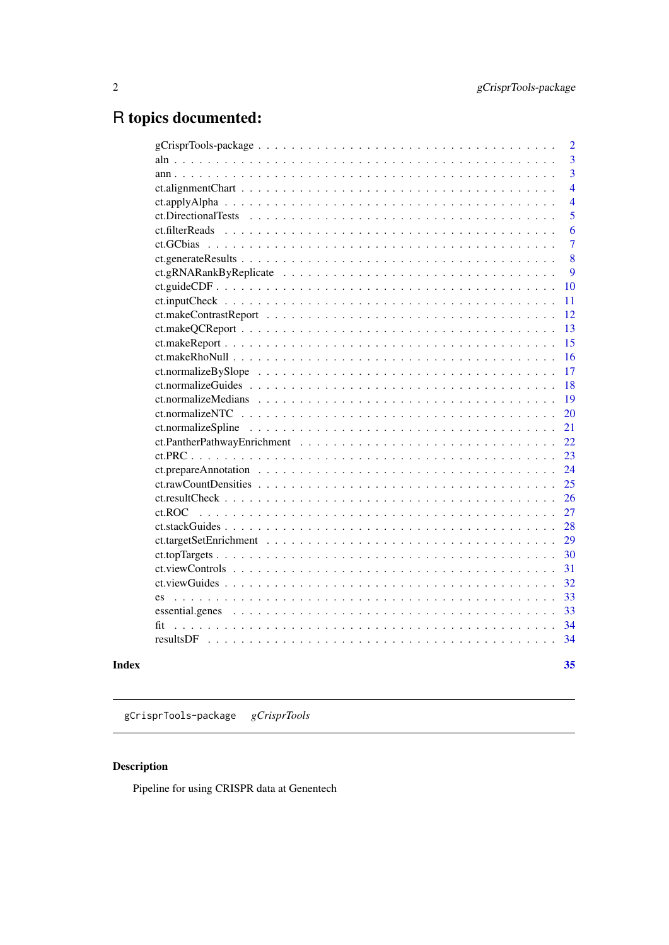# <span id="page-1-0"></span>R topics documented:

| Index               | 35             |
|---------------------|----------------|
|                     | 34             |
| fit                 | 34             |
|                     | 33             |
|                     | 33             |
|                     | 32             |
|                     | 31             |
|                     | 30             |
|                     | 29             |
|                     | 28             |
| $ct$ ROC.           | 27             |
|                     | 26             |
|                     | 25             |
|                     | 24             |
|                     | 23             |
|                     | 22             |
|                     | 21             |
|                     | 20             |
|                     | 19             |
|                     | 18             |
|                     | 17             |
|                     | 16             |
|                     | 15             |
|                     | 13             |
|                     | 12             |
|                     | 11             |
|                     | 10             |
|                     | 9              |
|                     | 8              |
|                     | 7              |
|                     | 6              |
| ct.DirectionalTests | 5              |
|                     | $\overline{4}$ |
|                     | 3<br>4         |
|                     | 3              |
|                     | $\overline{2}$ |
|                     |                |

gCrisprTools-package *gCrisprTools*

# Description

Pipeline for using CRISPR data at Genentech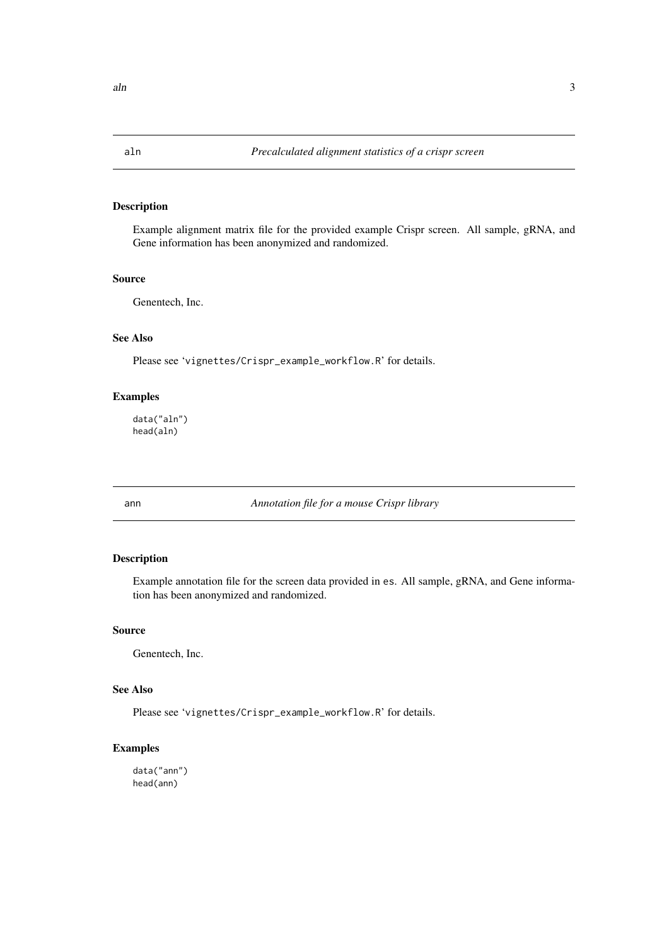# <span id="page-2-0"></span>Description

Example alignment matrix file for the provided example Crispr screen. All sample, gRNA, and Gene information has been anonymized and randomized.

# Source

Genentech, Inc.

# See Also

Please see 'vignettes/Crispr\_example\_workflow.R' for details.

#### Examples

data("aln") head(aln)

ann *Annotation file for a mouse Crispr library*

# Description

Example annotation file for the screen data provided in es. All sample, gRNA, and Gene information has been anonymized and randomized.

# Source

Genentech, Inc.

# See Also

Please see 'vignettes/Crispr\_example\_workflow.R' for details.

# Examples

data("ann") head(ann)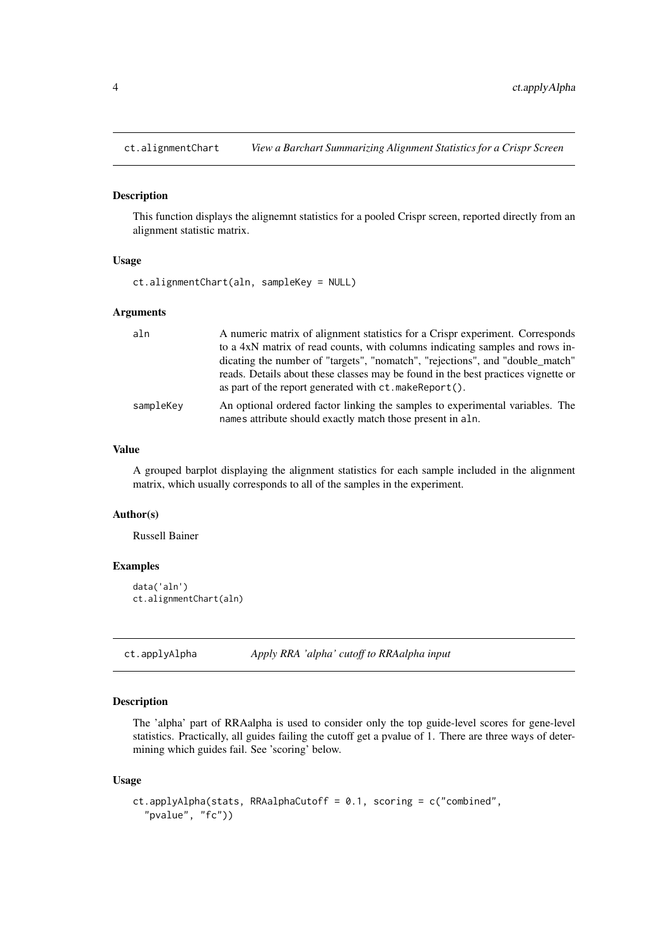<span id="page-3-0"></span>

#### Description

This function displays the alignemnt statistics for a pooled Crispr screen, reported directly from an alignment statistic matrix.

#### Usage

ct.alignmentChart(aln, sampleKey = NULL)

# Arguments

| aln       | A numeric matrix of alignment statistics for a Crispr experiment. Corresponds                                                               |
|-----------|---------------------------------------------------------------------------------------------------------------------------------------------|
|           | to a 4xN matrix of read counts, with columns indicating samples and rows in-                                                                |
|           | dicating the number of "targets", "nomatch", "rejections", and "double_match"                                                               |
|           | reads. Details about these classes may be found in the best practices vignette or<br>as part of the report generated with ct. makeReport(). |
| sampleKey | An optional ordered factor linking the samples to experimental variables. The<br>names attribute should exactly match those present in aln. |

# Value

A grouped barplot displaying the alignment statistics for each sample included in the alignment matrix, which usually corresponds to all of the samples in the experiment.

# Author(s)

Russell Bainer

#### Examples

```
data('aln')
ct.alignmentChart(aln)
```
ct.applyAlpha *Apply RRA 'alpha' cutoff to RRAalpha input*

#### Description

The 'alpha' part of RRAalpha is used to consider only the top guide-level scores for gene-level statistics. Practically, all guides failing the cutoff get a pvalue of 1. There are three ways of determining which guides fail. See 'scoring' below.

# Usage

```
ct.applyAlpha(stats, RRAalphaCutoff = 0.1, scoring = c("combined",
  "pvalue", "fc"))
```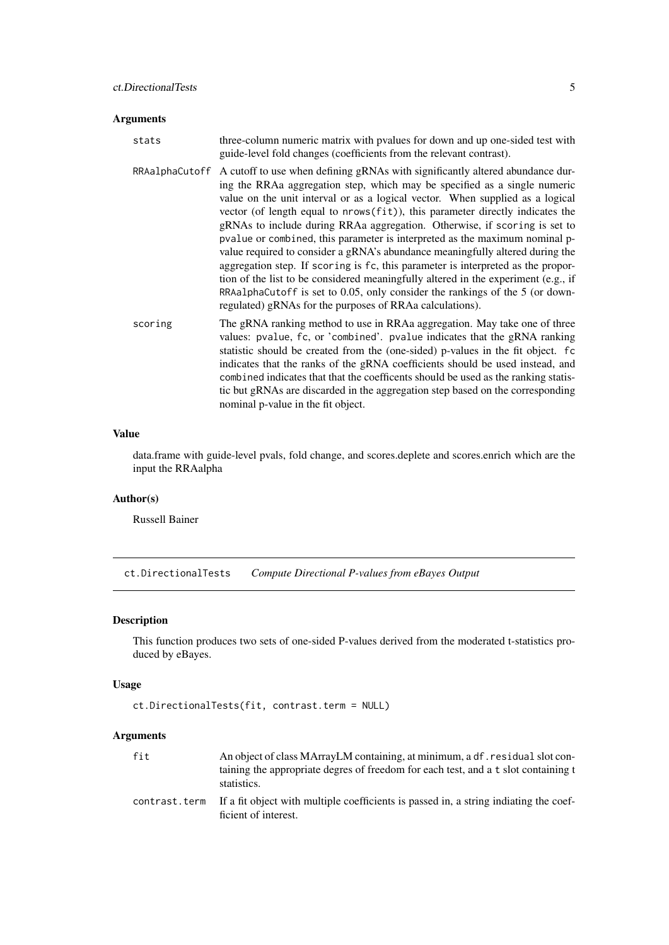### <span id="page-4-0"></span>Arguments

| stats | three-column numeric matrix with pvalues for down and up one-sided test with |
|-------|------------------------------------------------------------------------------|
|       | guide-level fold changes (coefficients from the relevant contrast).          |

- RRAalphaCutoff A cutoff to use when defining gRNAs with significantly altered abundance during the RRAa aggregation step, which may be specified as a single numeric value on the unit interval or as a logical vector. When supplied as a logical vector (of length equal to nrows(fit)), this parameter directly indicates the gRNAs to include during RRAa aggregation. Otherwise, if scoring is set to pvalue or combined, this parameter is interpreted as the maximum nominal pvalue required to consider a gRNA's abundance meaningfully altered during the aggregation step. If scoring is fc, this parameter is interpreted as the proportion of the list to be considered meaningfully altered in the experiment (e.g., if RRAalphaCutoff is set to 0.05, only consider the rankings of the 5 (or downregulated) gRNAs for the purposes of RRAa calculations).
- scoring The gRNA ranking method to use in RRAa aggregation. May take one of three values: pvalue, fc, or 'combined'. pvalue indicates that the gRNA ranking statistic should be created from the (one-sided) p-values in the fit object. fc indicates that the ranks of the gRNA coefficients should be used instead, and combined indicates that that the coefficents should be used as the ranking statistic but gRNAs are discarded in the aggregation step based on the corresponding nominal p-value in the fit object.

#### Value

data.frame with guide-level pvals, fold change, and scores.deplete and scores.enrich which are the input the RRAalpha

# Author(s)

Russell Bainer

ct.DirectionalTests *Compute Directional P-values from eBayes Output*

#### Description

This function produces two sets of one-sided P-values derived from the moderated t-statistics produced by eBayes.

### Usage

```
ct.DirectionalTests(fit, contrast.term = NULL)
```

| fit           | An object of class MArrayLM containing, at minimum, a df. residual slot con-<br>taining the appropriate degres of freedom for each test, and a t slot containing t<br>statistics. |
|---------------|-----------------------------------------------------------------------------------------------------------------------------------------------------------------------------------|
| contrast.term | If a fit object with multiple coefficients is passed in, a string indiating the coef-<br>ficient of interest.                                                                     |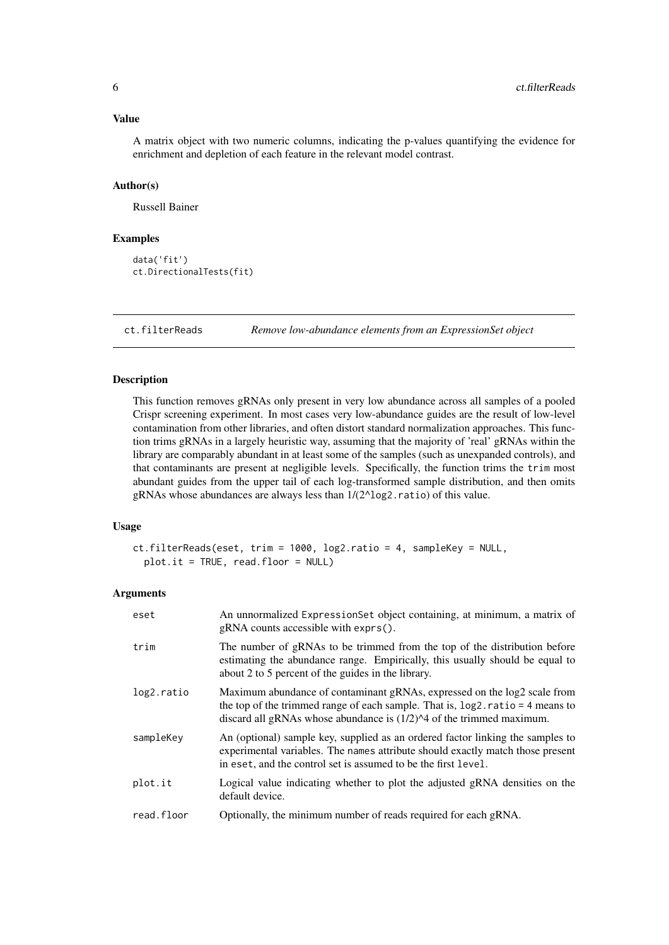#### <span id="page-5-0"></span>Value

A matrix object with two numeric columns, indicating the p-values quantifying the evidence for enrichment and depletion of each feature in the relevant model contrast.

#### Author(s)

Russell Bainer

# Examples

```
data('fit')
ct.DirectionalTests(fit)
```
ct.filterReads *Remove low-abundance elements from an ExpressionSet object*

#### Description

This function removes gRNAs only present in very low abundance across all samples of a pooled Crispr screening experiment. In most cases very low-abundance guides are the result of low-level contamination from other libraries, and often distort standard normalization approaches. This function trims gRNAs in a largely heuristic way, assuming that the majority of 'real' gRNAs within the library are comparably abundant in at least some of the samples (such as unexpanded controls), and that contaminants are present at negligible levels. Specifically, the function trims the trim most abundant guides from the upper tail of each log-transformed sample distribution, and then omits gRNAs whose abundances are always less than  $1/(2^{\wedge} \log 2$ . ratio) of this value.

# Usage

```
ct.filterReads(eset, trim = 1000, log2.ratio = 4, sampleKey = NULL,
 plot.it = TRUE, read.floor = NULL)
```

| eset       | An unnormalized ExpressionSet object containing, at minimum, a matrix of<br>$gRNA$ counts accessible with exprs().                                                                                                                      |
|------------|-----------------------------------------------------------------------------------------------------------------------------------------------------------------------------------------------------------------------------------------|
| trim       | The number of gRNAs to be trimmed from the top of the distribution before<br>estimating the abundance range. Empirically, this usually should be equal to<br>about 2 to 5 percent of the guides in the library.                         |
| log2.ratio | Maximum abundance of contaminant gRNAs, expressed on the log2 scale from<br>the top of the trimmed range of each sample. That is, $log2$ ratio = 4 means to<br>discard all gRNAs whose abundance is $(1/2)^{4}$ of the trimmed maximum. |
| sampleKey  | An (optional) sample key, supplied as an ordered factor linking the samples to<br>experimental variables. The names attribute should exactly match those present<br>in eset, and the control set is assumed to be the first level.      |
| plot.it    | Logical value indicating whether to plot the adjusted gRNA densities on the<br>default device.                                                                                                                                          |
| read.floor | Optionally, the minimum number of reads required for each gRNA.                                                                                                                                                                         |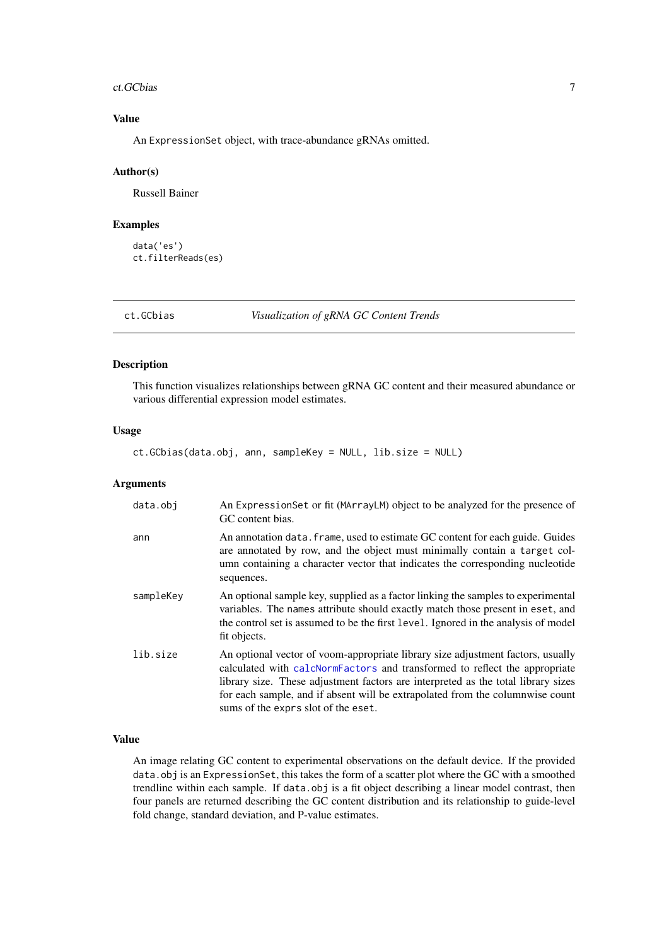#### <span id="page-6-0"></span>ct.GCbias 7

# Value

An ExpressionSet object, with trace-abundance gRNAs omitted.

# Author(s)

Russell Bainer

# Examples

```
data('es')
ct.filterReads(es)
```
ct.GCbias *Visualization of gRNA GC Content Trends*

# Description

This function visualizes relationships between gRNA GC content and their measured abundance or various differential expression model estimates.

#### Usage

ct.GCbias(data.obj, ann, sampleKey = NULL, lib.size = NULL)

# Arguments

| data.obj  | An ExpressionSet or fit (MArrayLM) object to be analyzed for the presence of<br>GC content bias.                                                                                                                                                                                                                                                                           |
|-----------|----------------------------------------------------------------------------------------------------------------------------------------------------------------------------------------------------------------------------------------------------------------------------------------------------------------------------------------------------------------------------|
| ann       | An annotation data. frame, used to estimate GC content for each guide. Guides<br>are annotated by row, and the object must minimally contain a target col-<br>umn containing a character vector that indicates the corresponding nucleotide<br>sequences.                                                                                                                  |
| sampleKey | An optional sample key, supplied as a factor linking the samples to experimental<br>variables. The names attribute should exactly match those present in eset, and<br>the control set is assumed to be the first level. Ignored in the analysis of model<br>fit objects.                                                                                                   |
| lib.size  | An optional vector of voom-appropriate library size adjustment factors, usually<br>calculated with calcNormFactors and transformed to reflect the appropriate<br>library size. These adjustment factors are interpreted as the total library sizes<br>for each sample, and if absent will be extrapolated from the columnwise count<br>sums of the exprs slot of the eset. |

#### Value

An image relating GC content to experimental observations on the default device. If the provided data.obj is an ExpressionSet, this takes the form of a scatter plot where the GC with a smoothed trendline within each sample. If data.obj is a fit object describing a linear model contrast, then four panels are returned describing the GC content distribution and its relationship to guide-level fold change, standard deviation, and P-value estimates.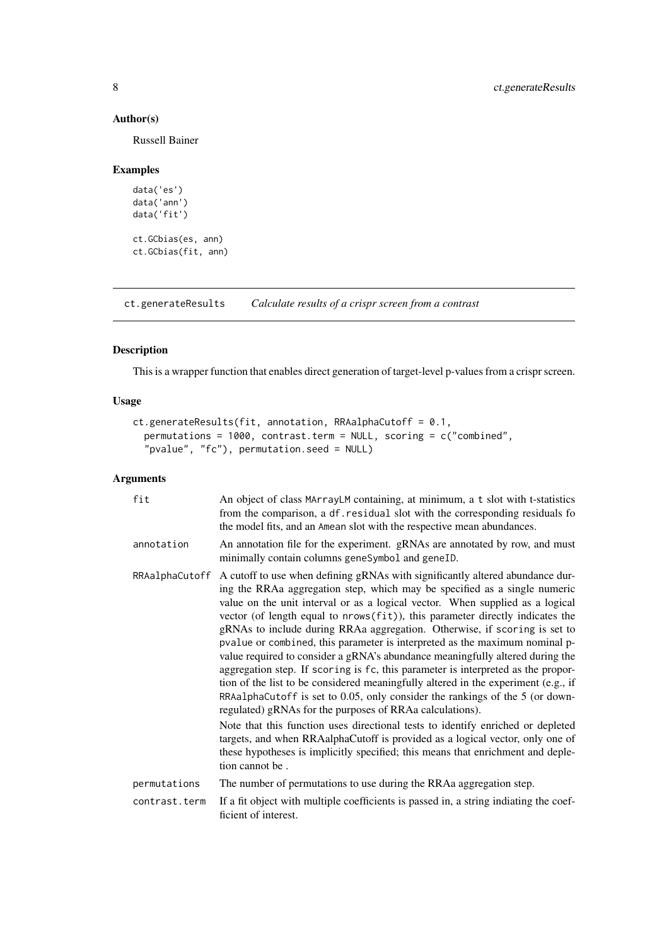# Author(s)

Russell Bainer

#### Examples

```
data('es')
data('ann')
data('fit')
ct.GCbias(es, ann)
ct.GCbias(fit, ann)
```
<span id="page-7-1"></span>ct.generateResults *Calculate results of a crispr screen from a contrast*

# Description

This is a wrapper function that enables direct generation of target-level p-values from a crispr screen.

# Usage

```
ct.generateResults(fit, annotation, RRAalphaCutoff = 0.1,
  permutations = 1000, contrast.term = NULL, scoring = c("combined",
  "pvalue", "fc"), permutation.seed = NULL)
```

| fit           | An object of class MArrayLM containing, at minimum, a t slot with t-statistics<br>from the comparison, a df. residual slot with the corresponding residuals fo<br>the model fits, and an Amean slot with the respective mean abundances.                                                                                                                                                                                                                                                                                                                                                                                                                                                                                                                                                                                                                                                                                                                                                                                                                                                                                                                                                 |
|---------------|------------------------------------------------------------------------------------------------------------------------------------------------------------------------------------------------------------------------------------------------------------------------------------------------------------------------------------------------------------------------------------------------------------------------------------------------------------------------------------------------------------------------------------------------------------------------------------------------------------------------------------------------------------------------------------------------------------------------------------------------------------------------------------------------------------------------------------------------------------------------------------------------------------------------------------------------------------------------------------------------------------------------------------------------------------------------------------------------------------------------------------------------------------------------------------------|
| annotation    | An annotation file for the experiment. gRNAs are annotated by row, and must<br>minimally contain columns geneSymbol and geneID.                                                                                                                                                                                                                                                                                                                                                                                                                                                                                                                                                                                                                                                                                                                                                                                                                                                                                                                                                                                                                                                          |
|               | RRAalphaCutoff A cutoff to use when defining gRNAs with significantly altered abundance dur-<br>ing the RRAa aggregation step, which may be specified as a single numeric<br>value on the unit interval or as a logical vector. When supplied as a logical<br>vector (of length equal to nrows(fit)), this parameter directly indicates the<br>gRNAs to include during RRAa aggregation. Otherwise, if scoring is set to<br>pvalue or combined, this parameter is interpreted as the maximum nominal p-<br>value required to consider a gRNA's abundance meaningfully altered during the<br>aggregation step. If scoring is fc, this parameter is interpreted as the propor-<br>tion of the list to be considered meaningfully altered in the experiment (e.g., if<br>RRAalphaCutoff is set to 0.05, only consider the rankings of the 5 (or down-<br>regulated) gRNAs for the purposes of RRAa calculations).<br>Note that this function uses directional tests to identify enriched or depleted<br>targets, and when RRAalphaCutoff is provided as a logical vector, only one of<br>these hypotheses is implicitly specified; this means that enrichment and deple-<br>tion cannot be. |
| permutations  | The number of permutations to use during the RRAa aggregation step.                                                                                                                                                                                                                                                                                                                                                                                                                                                                                                                                                                                                                                                                                                                                                                                                                                                                                                                                                                                                                                                                                                                      |
| contrast.term | If a fit object with multiple coefficients is passed in, a string indiating the coef-<br>ficient of interest.                                                                                                                                                                                                                                                                                                                                                                                                                                                                                                                                                                                                                                                                                                                                                                                                                                                                                                                                                                                                                                                                            |

<span id="page-7-0"></span>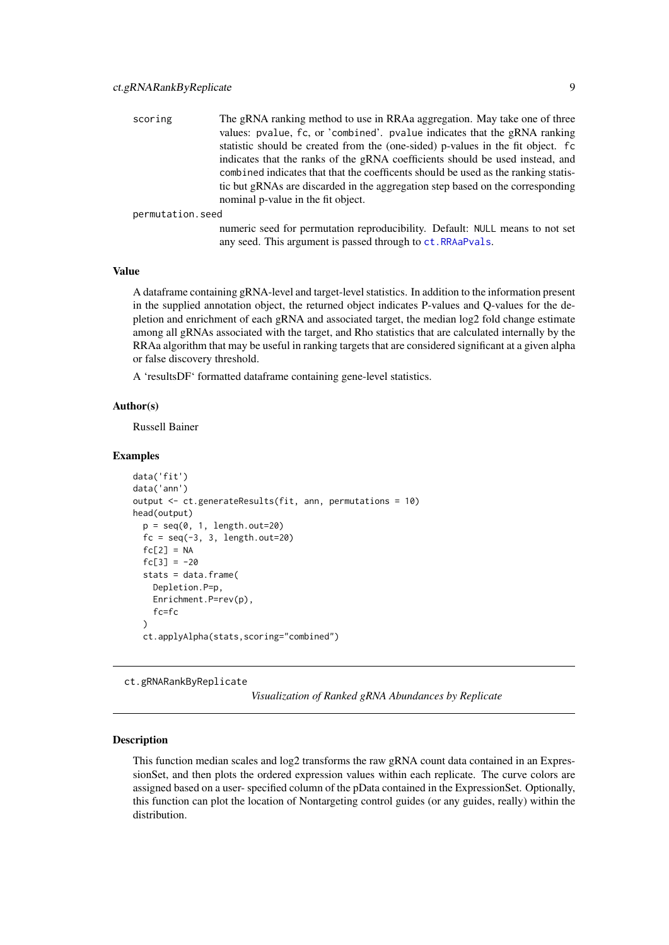<span id="page-8-0"></span>

| scoring | The gRNA ranking method to use in RRAa aggregation. May take one of three          |
|---------|------------------------------------------------------------------------------------|
|         | values: pvalue, fc, or 'combined', pvalue indicates that the gRNA ranking          |
|         | statistic should be created from the (one-sided) p-values in the fit object. for   |
|         | indicates that the ranks of the gRNA coefficients should be used instead, and      |
|         | combined indicates that that the coefficents should be used as the ranking statis- |
|         | tic but gRNAs are discarded in the aggregation step based on the corresponding     |
|         | nominal p-value in the fit object.                                                 |

permutation.seed

numeric seed for permutation reproducibility. Default: NULL means to not set any seed. This argument is passed through to [ct.RRAaPvals](#page-0-0).

# Value

A dataframe containing gRNA-level and target-level statistics. In addition to the information present in the supplied annotation object, the returned object indicates P-values and Q-values for the depletion and enrichment of each gRNA and associated target, the median log2 fold change estimate among all gRNAs associated with the target, and Rho statistics that are calculated internally by the RRAa algorithm that may be useful in ranking targets that are considered significant at a given alpha or false discovery threshold.

A 'resultsDF' formatted dataframe containing gene-level statistics.

#### Author(s)

Russell Bainer

#### Examples

```
data('fit')
data('ann')
output <- ct.generateResults(fit, ann, permutations = 10)
head(output)
  p = seq(0, 1, length.out=20)fc = seq(-3, 3, length.out=20)fc[2] = NAfc[3] = -20stats = data.frame(
    Depletion.P=p,
    Enrichment.P=rev(p),
    fc=fc
  \lambdact.applyAlpha(stats,scoring="combined")
```
<span id="page-8-1"></span>ct.gRNARankByReplicate

*Visualization of Ranked gRNA Abundances by Replicate*

#### Description

This function median scales and log2 transforms the raw gRNA count data contained in an ExpressionSet, and then plots the ordered expression values within each replicate. The curve colors are assigned based on a user- specified column of the pData contained in the ExpressionSet. Optionally, this function can plot the location of Nontargeting control guides (or any guides, really) within the distribution.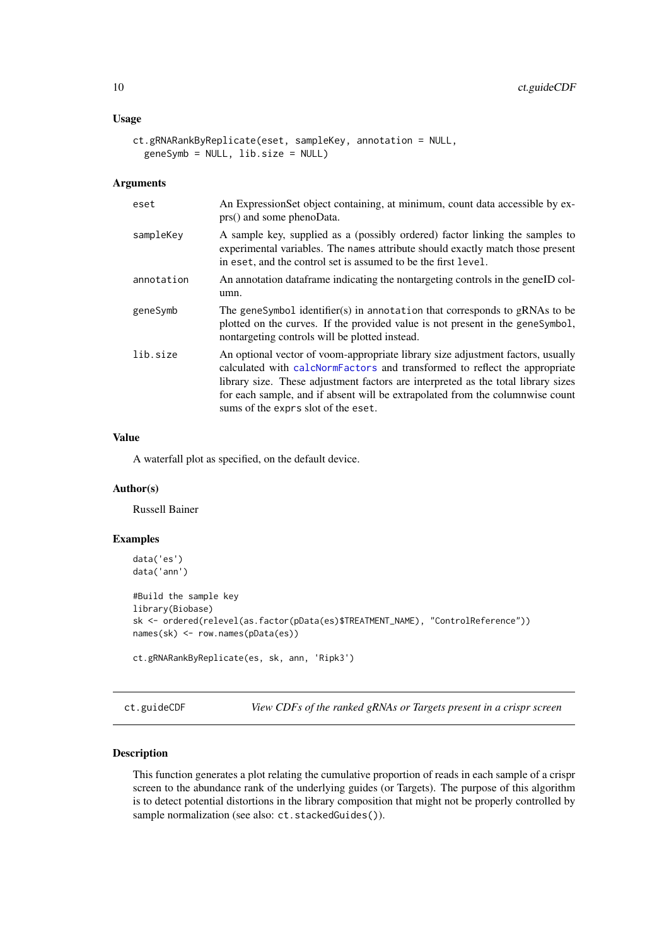### <span id="page-9-0"></span>Usage

```
ct.gRNARankByReplicate(eset, sampleKey, annotation = NULL,
 geneSymb = NULL, lib.size = NULL)
```
# Arguments

| eset       | An ExpressionSet object containing, at minimum, count data accessible by ex-<br>prs() and some phenoData.                                                                                                                                                                                                                                                                  |
|------------|----------------------------------------------------------------------------------------------------------------------------------------------------------------------------------------------------------------------------------------------------------------------------------------------------------------------------------------------------------------------------|
| sampleKey  | A sample key, supplied as a (possibly ordered) factor linking the samples to<br>experimental variables. The names attribute should exactly match those present<br>in eset, and the control set is assumed to be the first level.                                                                                                                                           |
| annotation | An annotation data frame indicating the nontargeting controls in the geneID col-<br>umn.                                                                                                                                                                                                                                                                                   |
| geneSymb   | The geneSymbol identifier(s) in annotation that corresponds to gRNAs to be<br>plotted on the curves. If the provided value is not present in the geneSymbol,<br>nontargeting controls will be plotted instead.                                                                                                                                                             |
| lib.size   | An optional vector of voom-appropriate library size adjustment factors, usually<br>calculated with calcNormFactors and transformed to reflect the appropriate<br>library size. These adjustment factors are interpreted as the total library sizes<br>for each sample, and if absent will be extrapolated from the columnwise count<br>sums of the exprs slot of the eset. |

# Value

A waterfall plot as specified, on the default device.

# Author(s)

Russell Bainer

# Examples

```
data('es')
data('ann')
#Build the sample key
library(Biobase)
sk <- ordered(relevel(as.factor(pData(es)$TREATMENT_NAME), "ControlReference"))
names(sk) <- row.names(pData(es))
ct.gRNARankByReplicate(es, sk, ann, 'Ripk3')
```
ct.guideCDF *View CDFs of the ranked gRNAs or Targets present in a crispr screen*

# Description

This function generates a plot relating the cumulative proportion of reads in each sample of a crispr screen to the abundance rank of the underlying guides (or Targets). The purpose of this algorithm is to detect potential distortions in the library composition that might not be properly controlled by sample normalization (see also: ct.stackedGuides()).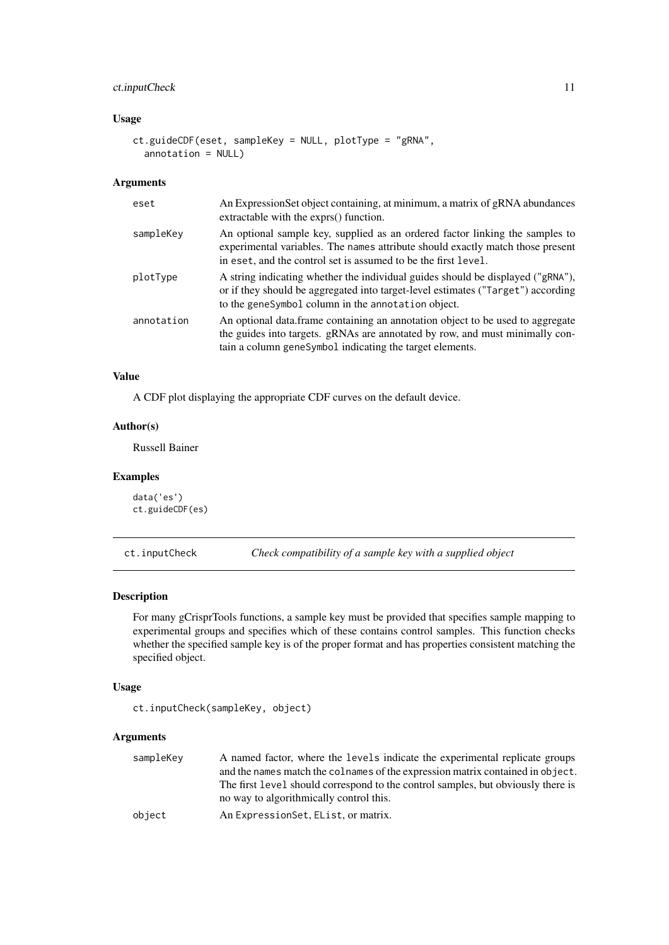#### <span id="page-10-0"></span>ct.inputCheck 11

# Usage

```
ct.guideCDF(eset, sampleKey = NULL, plotType = "gRNA",
 annotation = NULL)
```
# Arguments

| eset       | An Expression Set object containing, at minimum, a matrix of gRNA abundances<br>extractable with the exprs() function.                                                                                                           |
|------------|----------------------------------------------------------------------------------------------------------------------------------------------------------------------------------------------------------------------------------|
| sampleKey  | An optional sample key, supplied as an ordered factor linking the samples to<br>experimental variables. The names attribute should exactly match those present<br>in eset, and the control set is assumed to be the first level. |
| plotType   | A string indicating whether the individual guides should be displayed ("gRNA"),<br>or if they should be aggregated into target-level estimates ("Target") according<br>to the geneSymbol column in the annotation object.        |
| annotation | An optional data frame containing an annotation object to be used to aggregate<br>the guides into targets. gRNAs are annotated by row, and must minimally con-<br>tain a column genesymbol indicating the target elements.       |

# Value

A CDF plot displaying the appropriate CDF curves on the default device.

# Author(s)

Russell Bainer

# Examples

```
data('es')
ct.guideCDF(es)
```
ct.inputCheck *Check compatibility of a sample key with a supplied object*

# Description

For many gCrisprTools functions, a sample key must be provided that specifies sample mapping to experimental groups and specifies which of these contains control samples. This function checks whether the specified sample key is of the proper format and has properties consistent matching the specified object.

# Usage

```
ct.inputCheck(sampleKey, object)
```

| sampleKey | A named factor, where the levels indicate the experimental replicate groups      |
|-----------|----------------------------------------------------------------------------------|
|           | and the names match the colnames of the expression matrix contained in object.   |
|           | The first level should correspond to the control samples, but obviously there is |
|           | no way to algorithmically control this.                                          |
| object    | An Expression Set, Elist, or matrix.                                             |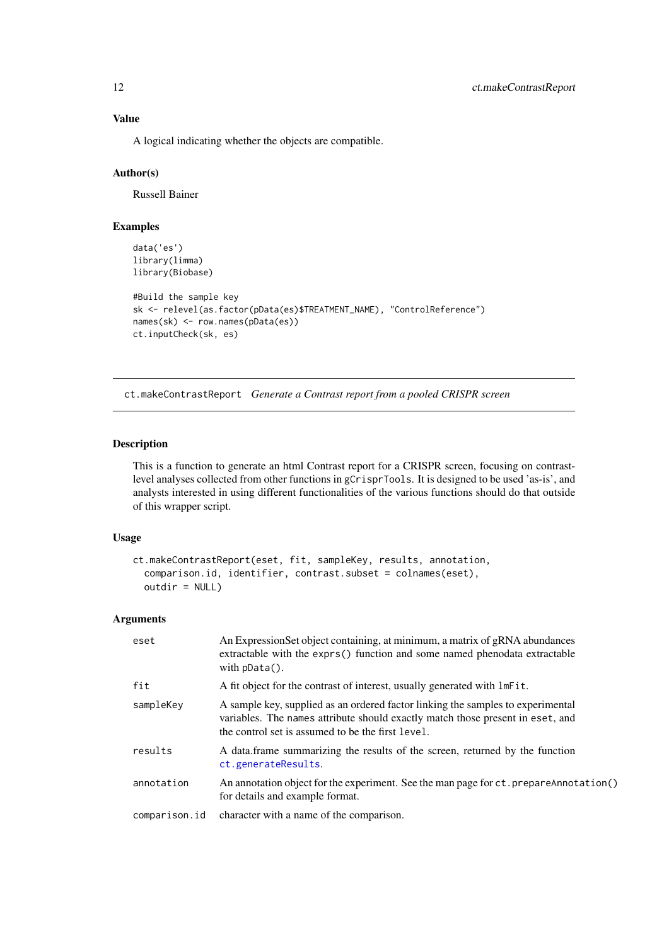# Value

A logical indicating whether the objects are compatible.

# Author(s)

Russell Bainer

# Examples

```
data('es')
library(limma)
library(Biobase)
#Build the sample key
sk <- relevel(as.factor(pData(es)$TREATMENT_NAME), "ControlReference")
names(sk) <- row.names(pData(es))
ct.inputCheck(sk, es)
```
ct.makeContrastReport *Generate a Contrast report from a pooled CRISPR screen*

#### Description

This is a function to generate an html Contrast report for a CRISPR screen, focusing on contrastlevel analyses collected from other functions in gCrisprTools. It is designed to be used 'as-is', and analysts interested in using different functionalities of the various functions should do that outside of this wrapper script.

# Usage

```
ct.makeContrastReport(eset, fit, sampleKey, results, annotation,
  comparison.id, identifier, contrast.subset = colnames(eset),
 outdir = NULL)
```

| eset          | An ExpressionSet object containing, at minimum, a matrix of gRNA abundances<br>extractable with the exprs() function and some named phenodata extractable<br>with $pData()$ .                                          |
|---------------|------------------------------------------------------------------------------------------------------------------------------------------------------------------------------------------------------------------------|
| fit           | A fit object for the contrast of interest, usually generated with lmFit.                                                                                                                                               |
| sampleKey     | A sample key, supplied as an ordered factor linking the samples to experimental<br>variables. The names attribute should exactly match those present in eset, and<br>the control set is assumed to be the first level. |
| results       | A data frame summarizing the results of the screen, returned by the function<br>ct.generateResults.                                                                                                                    |
| annotation    | An annotation object for the experiment. See the man page for ct. prepareAnnotation()<br>for details and example format.                                                                                               |
| comparison.id | character with a name of the comparison.                                                                                                                                                                               |

<span id="page-11-0"></span>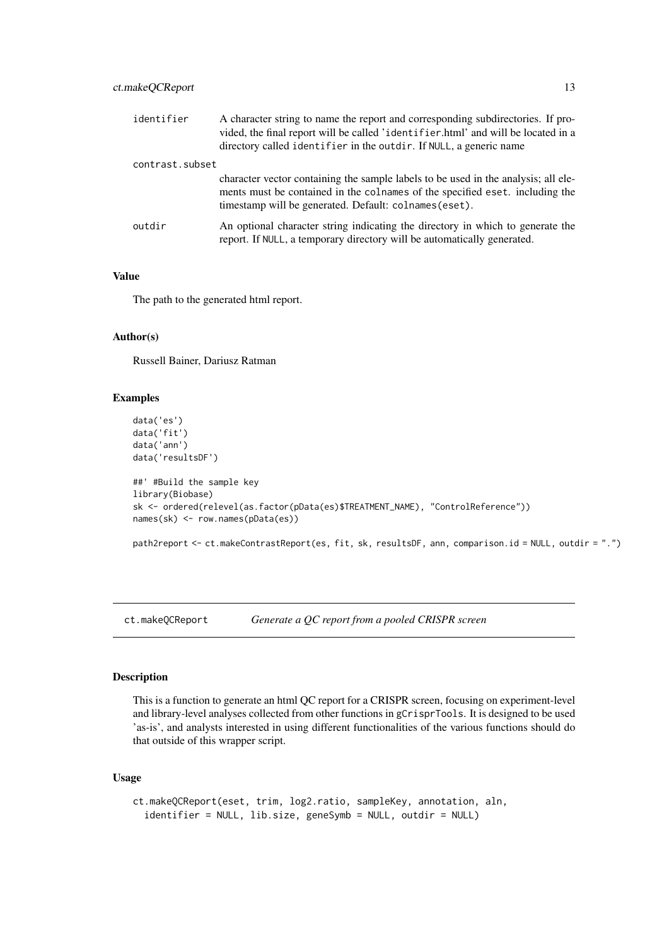<span id="page-12-0"></span>

| identifier      | A character string to name the report and corresponding subdirectories. If pro-<br>vided, the final report will be called 'identifier.html' and will be located in a<br>directory called identifier in the outdir. If NULL, a generic name |
|-----------------|--------------------------------------------------------------------------------------------------------------------------------------------------------------------------------------------------------------------------------------------|
| contrast.subset |                                                                                                                                                                                                                                            |
|                 | character vector containing the sample labels to be used in the analysis; all ele-<br>ments must be contained in the colnames of the specified eset. including the<br>timestamp will be generated. Default: colnames (eset).               |
| outdir          | An optional character string indicating the directory in which to generate the<br>report. If NULL, a temporary directory will be automatically generated.                                                                                  |

# Value

The path to the generated html report.

# Author(s)

Russell Bainer, Dariusz Ratman

# Examples

```
data('es')
data('fit')
data('ann')
data('resultsDF')
##' #Build the sample key
library(Biobase)
sk <- ordered(relevel(as.factor(pData(es)$TREATMENT_NAME), "ControlReference"))
names(sk) <- row.names(pData(es))
```
path2report <- ct.makeContrastReport(es, fit, sk, resultsDF, ann, comparison.id = NULL, outdir = ".")

ct.makeQCReport *Generate a QC report from a pooled CRISPR screen*

#### Description

This is a function to generate an html QC report for a CRISPR screen, focusing on experiment-level and library-level analyses collected from other functions in gCrisprTools. It is designed to be used 'as-is', and analysts interested in using different functionalities of the various functions should do that outside of this wrapper script.

# Usage

```
ct.makeQCReport(eset, trim, log2.ratio, sampleKey, annotation, aln,
  identifier = NULL, lib.size, geneSymb = NULL, outdir = NULL)
```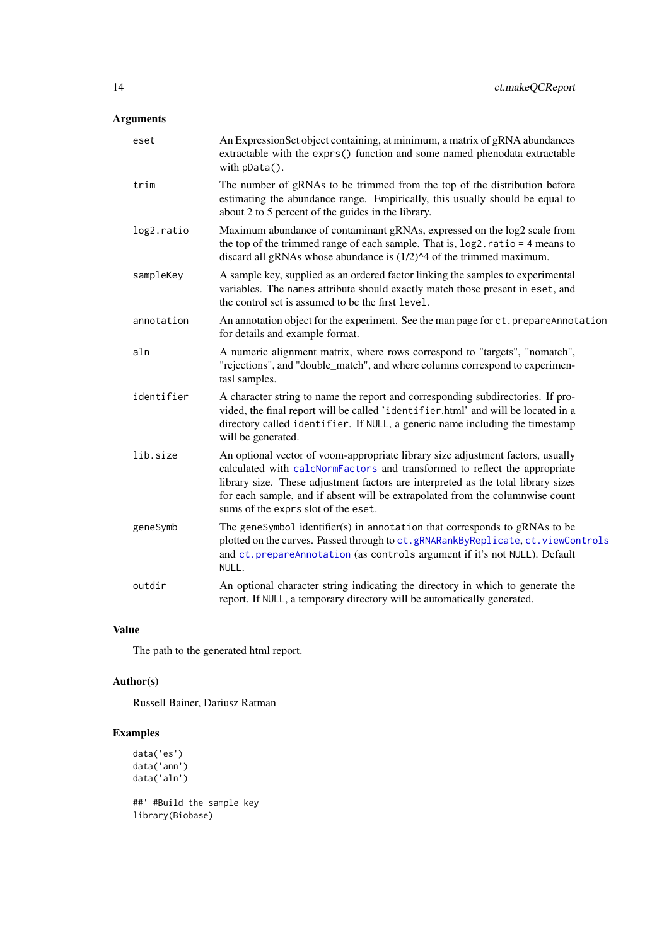# <span id="page-13-0"></span>Arguments

| eset       | An ExpressionSet object containing, at minimum, a matrix of gRNA abundances<br>extractable with the exprs() function and some named phenodata extractable<br>with $pData()$ .                                                                                                                                                                                              |
|------------|----------------------------------------------------------------------------------------------------------------------------------------------------------------------------------------------------------------------------------------------------------------------------------------------------------------------------------------------------------------------------|
| trim       | The number of gRNAs to be trimmed from the top of the distribution before<br>estimating the abundance range. Empirically, this usually should be equal to<br>about 2 to 5 percent of the guides in the library.                                                                                                                                                            |
| log2.ratio | Maximum abundance of contaminant gRNAs, expressed on the log2 scale from<br>the top of the trimmed range of each sample. That is, $log2$ ratio = 4 means to<br>discard all gRNAs whose abundance is (1/2)^4 of the trimmed maximum.                                                                                                                                        |
| sampleKey  | A sample key, supplied as an ordered factor linking the samples to experimental<br>variables. The names attribute should exactly match those present in eset, and<br>the control set is assumed to be the first level.                                                                                                                                                     |
| annotation | An annotation object for the experiment. See the man page for ct. prepareAnnotation<br>for details and example format.                                                                                                                                                                                                                                                     |
| aln        | A numeric alignment matrix, where rows correspond to "targets", "nomatch",<br>"rejections", and "double_match", and where columns correspond to experimen-<br>tasl samples.                                                                                                                                                                                                |
| identifier | A character string to name the report and corresponding subdirectories. If pro-<br>vided, the final report will be called 'identifier.html' and will be located in a<br>directory called identifier. If NULL, a generic name including the timestamp<br>will be generated.                                                                                                 |
| lib.size   | An optional vector of voom-appropriate library size adjustment factors, usually<br>calculated with calcNormFactors and transformed to reflect the appropriate<br>library size. These adjustment factors are interpreted as the total library sizes<br>for each sample, and if absent will be extrapolated from the columnwise count<br>sums of the exprs slot of the eset. |
| geneSymb   | The geneSymbol identifier(s) in annotation that corresponds to gRNAs to be<br>plotted on the curves. Passed through to ct.gRNARankByReplicate, ct.viewControls<br>and ct. prepareAnnotation (as controls argument if it's not NULL). Default<br>NULL.                                                                                                                      |
| outdir     | An optional character string indicating the directory in which to generate the<br>report. If NULL, a temporary directory will be automatically generated.                                                                                                                                                                                                                  |

# Value

The path to the generated html report.

# Author(s)

Russell Bainer, Dariusz Ratman

```
data('es')
data('ann')
data('aln')
##' #Build the sample key
library(Biobase)
```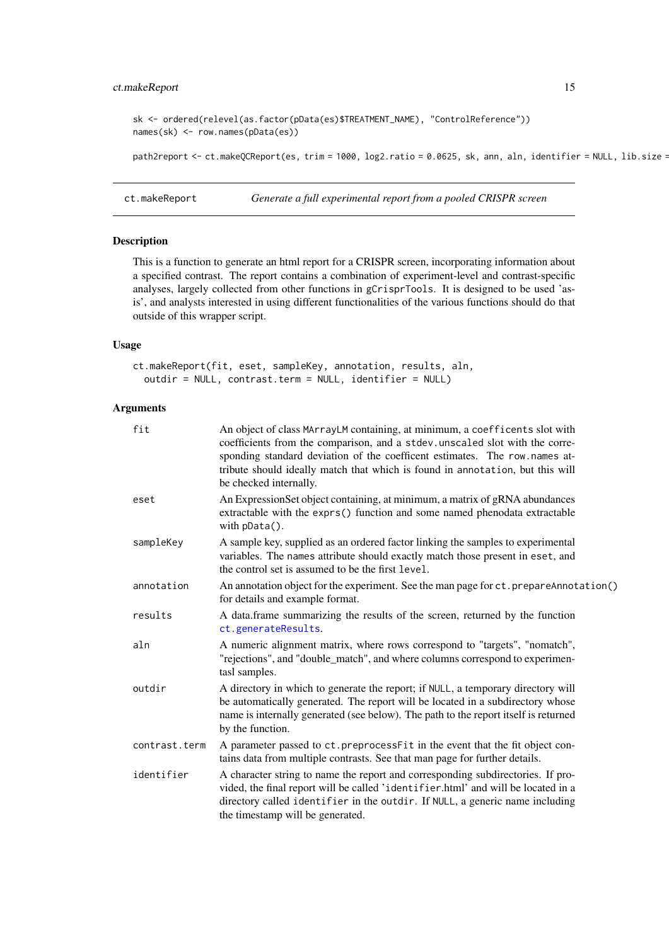#### <span id="page-14-0"></span>ct.makeReport 15

```
sk <- ordered(relevel(as.factor(pData(es)$TREATMENT_NAME), "ControlReference"))
names(sk) <- row.names(pData(es))
```
path2report <- ct.makeQCReport(es, trim = 1000, log2.ratio = 0.0625, sk, ann, aln, identifier = NULL, lib.size =

ct.makeReport *Generate a full experimental report from a pooled CRISPR screen*

# Description

This is a function to generate an html report for a CRISPR screen, incorporating information about a specified contrast. The report contains a combination of experiment-level and contrast-specific analyses, largely collected from other functions in gCrisprTools. It is designed to be used 'asis', and analysts interested in using different functionalities of the various functions should do that outside of this wrapper script.

# Usage

```
ct.makeReport(fit, eset, sampleKey, annotation, results, aln,
 outdir = NULL, contrast.term = NULL, identifier = NULL)
```

| fit           | An object of class MArrayLM containing, at minimum, a coefficents slot with<br>coefficients from the comparison, and a stdev.unscaled slot with the corre-<br>sponding standard deviation of the coefficent estimates. The row.names at-<br>tribute should ideally match that which is found in annotation, but this will<br>be checked internally. |
|---------------|-----------------------------------------------------------------------------------------------------------------------------------------------------------------------------------------------------------------------------------------------------------------------------------------------------------------------------------------------------|
| eset          | An Expression Set object containing, at minimum, a matrix of gRNA abundances<br>extractable with the exprs() function and some named phenodata extractable<br>with pData().                                                                                                                                                                         |
| sampleKey     | A sample key, supplied as an ordered factor linking the samples to experimental<br>variables. The names attribute should exactly match those present in eset, and<br>the control set is assumed to be the first level.                                                                                                                              |
| annotation    | An annotation object for the experiment. See the man page for ct. prepareAnnotation()<br>for details and example format.                                                                                                                                                                                                                            |
| results       | A data.frame summarizing the results of the screen, returned by the function<br>ct.generateResults.                                                                                                                                                                                                                                                 |
| aln           | A numeric alignment matrix, where rows correspond to "targets", "nomatch",<br>"rejections", and "double_match", and where columns correspond to experimen-<br>tasl samples.                                                                                                                                                                         |
| outdir        | A directory in which to generate the report; if NULL, a temporary directory will<br>be automatically generated. The report will be located in a subdirectory whose<br>name is internally generated (see below). The path to the report itself is returned<br>by the function.                                                                       |
| contrast.term | A parameter passed to ct.preprocessFit in the event that the fit object con-<br>tains data from multiple contrasts. See that man page for further details.                                                                                                                                                                                          |
| identifier    | A character string to name the report and corresponding subdirectories. If pro-<br>vided, the final report will be called 'identifier.html' and will be located in a<br>directory called identifier in the outdir. If NULL, a generic name including<br>the timestamp will be generated.                                                            |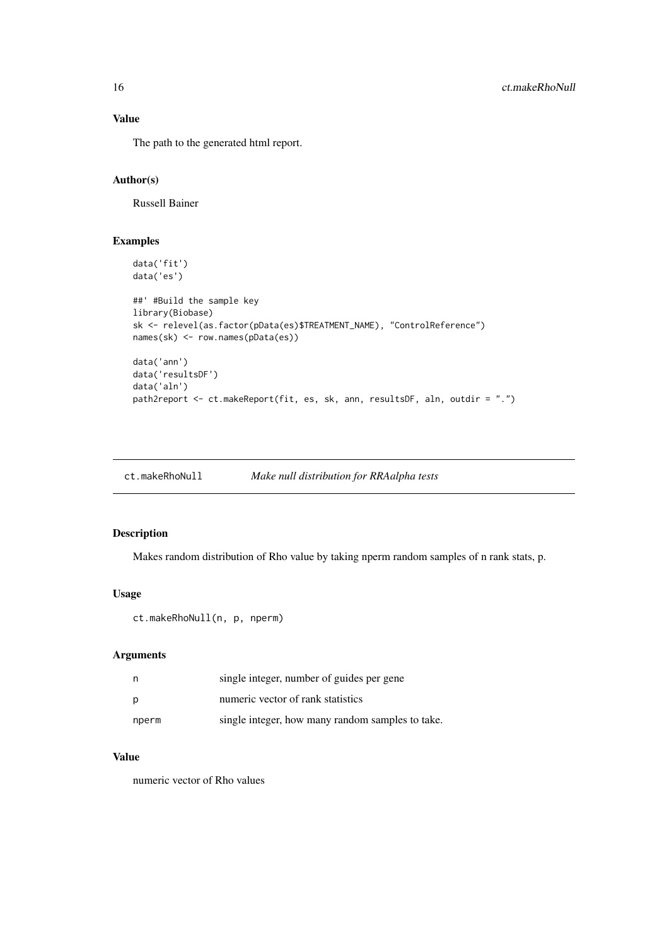# Value

The path to the generated html report.

# Author(s)

Russell Bainer

# Examples

```
data('fit')
data('es')
##' #Build the sample key
library(Biobase)
sk <- relevel(as.factor(pData(es)$TREATMENT_NAME), "ControlReference")
names(sk) <- row.names(pData(es))
data('ann')
data('resultsDF')
data('aln')
path2report <- ct.makeReport(fit, es, sk, ann, resultsDF, aln, outdir = ".")
```
# Description

Makes random distribution of Rho value by taking nperm random samples of n rank stats, p.

# Usage

```
ct.makeRhoNull(n, p, nperm)
```
# Arguments

| n     | single integer, number of guides per gene        |
|-------|--------------------------------------------------|
| p     | numeric vector of rank statistics                |
| nperm | single integer, how many random samples to take. |

# Value

numeric vector of Rho values

<span id="page-15-0"></span>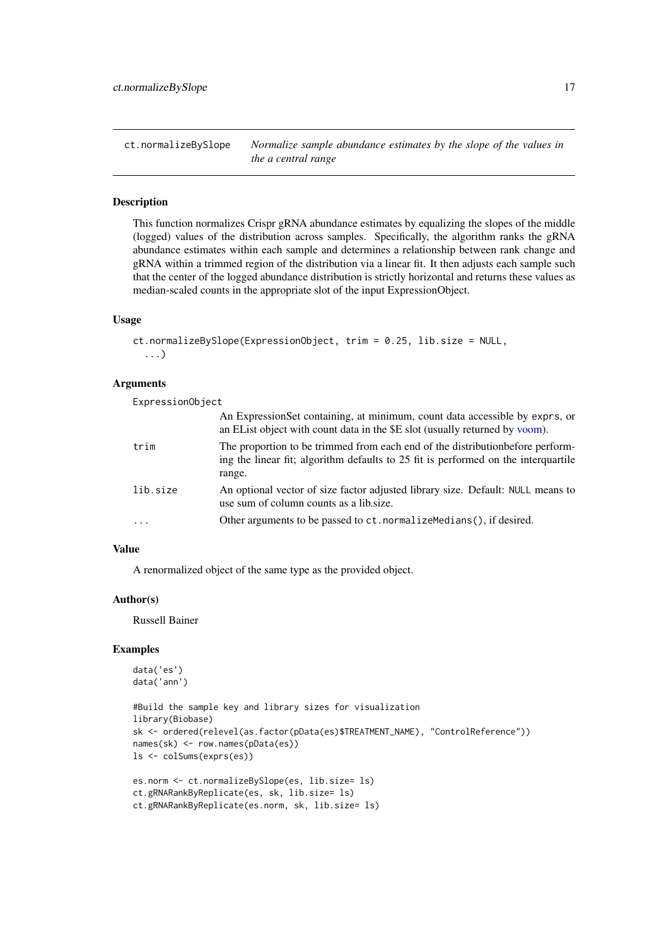<span id="page-16-1"></span><span id="page-16-0"></span>ct.normalizeBySlope *Normalize sample abundance estimates by the slope of the values in the a central range*

# Description

This function normalizes Crispr gRNA abundance estimates by equalizing the slopes of the middle (logged) values of the distribution across samples. Specifically, the algorithm ranks the gRNA abundance estimates within each sample and determines a relationship between rank change and gRNA within a trimmed region of the distribution via a linear fit. It then adjusts each sample such that the center of the logged abundance distribution is strictly horizontal and returns these values as median-scaled counts in the appropriate slot of the input ExpressionObject.

# Usage

```
ct.normalizeBySlope(ExpressionObject, trim = 0.25, lib.size = NULL,
  ...)
```
#### Arguments

ExpressionObject

|          | An Expression Set containing, at minimum, count data accessible by exprs, or<br>an EList object with count data in the \$E slot (usually returned by voom).                    |
|----------|--------------------------------------------------------------------------------------------------------------------------------------------------------------------------------|
| trim     | The proportion to be trimmed from each end of the distribution before perform-<br>ing the linear fit; algorithm defaults to 25 fit is performed on the interquartile<br>range. |
| lib.size | An optional vector of size factor adjusted library size. Default: NULL means to<br>use sum of column counts as a lib size.                                                     |
| $\cdot$  | Other arguments to be passed to ct. normalizemedians(), if desired.                                                                                                            |

# Value

A renormalized object of the same type as the provided object.

# Author(s)

Russell Bainer

```
data('es')
data('ann')
```

```
#Build the sample key and library sizes for visualization
library(Biobase)
sk <- ordered(relevel(as.factor(pData(es)$TREATMENT_NAME), "ControlReference"))
names(sk) <- row.names(pData(es))
ls <- colSums(exprs(es))
es.norm <- ct.normalizeBySlope(es, lib.size= ls)
```

```
ct.gRNARankByReplicate(es, sk, lib.size= ls)
ct.gRNARankByReplicate(es.norm, sk, lib.size= ls)
```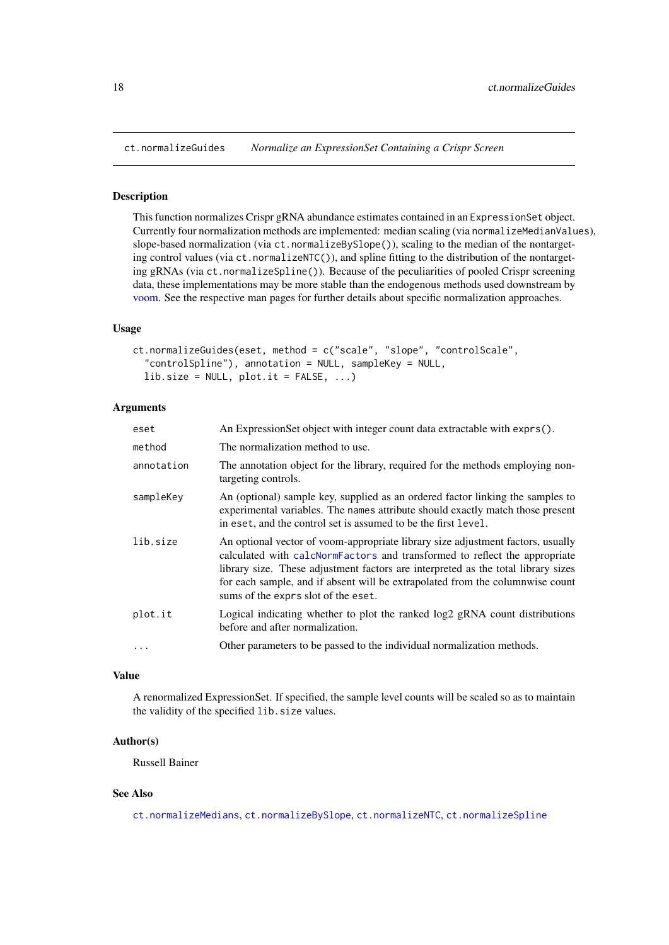<span id="page-17-0"></span>

# Description

This function normalizes Crispr gRNA abundance estimates contained in an ExpressionSet object. Currently four normalization methods are implemented: median scaling (via normalizeMedianValues), slope-based normalization (via ct.normalizeBySlope()), scaling to the median of the nontargeting control values (via  $ct.normalizeNTC()$ ), and spline fitting to the distribution of the nontargeting gRNAs (via ct.normalizeSpline()). Because of the peculiarities of pooled Crispr screening data, these implementations may be more stable than the endogenous methods used downstream by [voom.](#page-0-0) See the respective man pages for further details about specific normalization approaches.

# Usage

```
ct.normalizeGuides(eset, method = c("scale", "slope", "controlScale",
  "controlSpline"), annotation = NULL, sampleKey = NULL,
  lib.size = NULL, plot.it = FALSE, ...)
```
### Arguments

| eset       | An ExpressionSet object with integer count data extractable with exprs().                                                                                                                                                                                                                                                                                                  |
|------------|----------------------------------------------------------------------------------------------------------------------------------------------------------------------------------------------------------------------------------------------------------------------------------------------------------------------------------------------------------------------------|
| method     | The normalization method to use.                                                                                                                                                                                                                                                                                                                                           |
| annotation | The annotation object for the library, required for the methods employing non-<br>targeting controls.                                                                                                                                                                                                                                                                      |
| sampleKey  | An (optional) sample key, supplied as an ordered factor linking the samples to<br>experimental variables. The names attribute should exactly match those present<br>in eset, and the control set is assumed to be the first level.                                                                                                                                         |
| lib.size   | An optional vector of voom-appropriate library size adjustment factors, usually<br>calculated with calcNormFactors and transformed to reflect the appropriate<br>library size. These adjustment factors are interpreted as the total library sizes<br>for each sample, and if absent will be extrapolated from the columnwise count<br>sums of the exprs slot of the eset. |
| plot.it    | Logical indicating whether to plot the ranked log2 gRNA count distributions<br>before and after normalization.                                                                                                                                                                                                                                                             |
| $\ddotsc$  | Other parameters to be passed to the individual normalization methods.                                                                                                                                                                                                                                                                                                     |

#### Value

A renormalized ExpressionSet. If specified, the sample level counts will be scaled so as to maintain the validity of the specified lib.size values.

# Author(s)

Russell Bainer

# See Also

[ct.normalizeMedians](#page-18-1), [ct.normalizeBySlope](#page-16-1), [ct.normalizeNTC](#page-19-1), [ct.normalizeSpline](#page-20-1)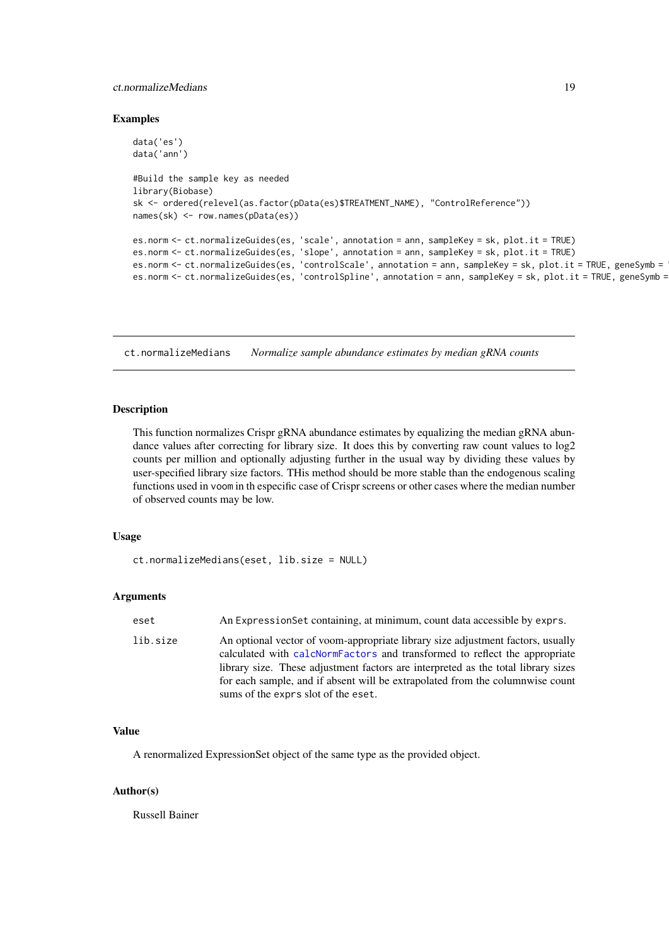#### <span id="page-18-0"></span>ct.normalizeMedians 19

#### Examples

```
data('es')
data('ann')
#Build the sample key as needed
library(Biobase)
sk <- ordered(relevel(as.factor(pData(es)$TREATMENT_NAME), "ControlReference"))
names(sk) <- row.names(pData(es))
es.norm <- ct.normalizeGuides(es, 'scale', annotation = ann, sampleKey = sk, plot.it = TRUE)
es.norm <- ct.normalizeGuides(es, 'slope', annotation = ann, sampleKey = sk, plot.it = TRUE)
es.norm <- ct.normalizeGuides(es, 'controlScale', annotation = ann, sampleKey = sk, plot.it = TRUE, geneSymb =
es.norm <- ct.normalizeGuides(es, 'controlSpline', annotation = ann, sampleKey = sk, plot.it = TRUE, geneSymb =
```
<span id="page-18-1"></span>ct.normalizeMedians *Normalize sample abundance estimates by median gRNA counts*

#### Description

This function normalizes Crispr gRNA abundance estimates by equalizing the median gRNA abundance values after correcting for library size. It does this by converting raw count values to log2 counts per million and optionally adjusting further in the usual way by dividing these values by user-specified library size factors. THis method should be more stable than the endogenous scaling functions used in voom in th especific case of Crispr screens or other cases where the median number of observed counts may be low.

# Usage

```
ct.normalizeMedians(eset, lib.size = NULL)
```
#### Arguments

| eset     | An Expression Set containing, at minimum, count data accessible by exprs.                                                                                                                                                                                                                                                                                                  |
|----------|----------------------------------------------------------------------------------------------------------------------------------------------------------------------------------------------------------------------------------------------------------------------------------------------------------------------------------------------------------------------------|
| lib.size | An optional vector of voom-appropriate library size adjustment factors, usually<br>calculated with calcNormFactors and transformed to reflect the appropriate<br>library size. These adjustment factors are interpreted as the total library sizes<br>for each sample, and if absent will be extrapolated from the columnwise count<br>sums of the exprs slot of the eset. |

# Value

A renormalized ExpressionSet object of the same type as the provided object.

# Author(s)

Russell Bainer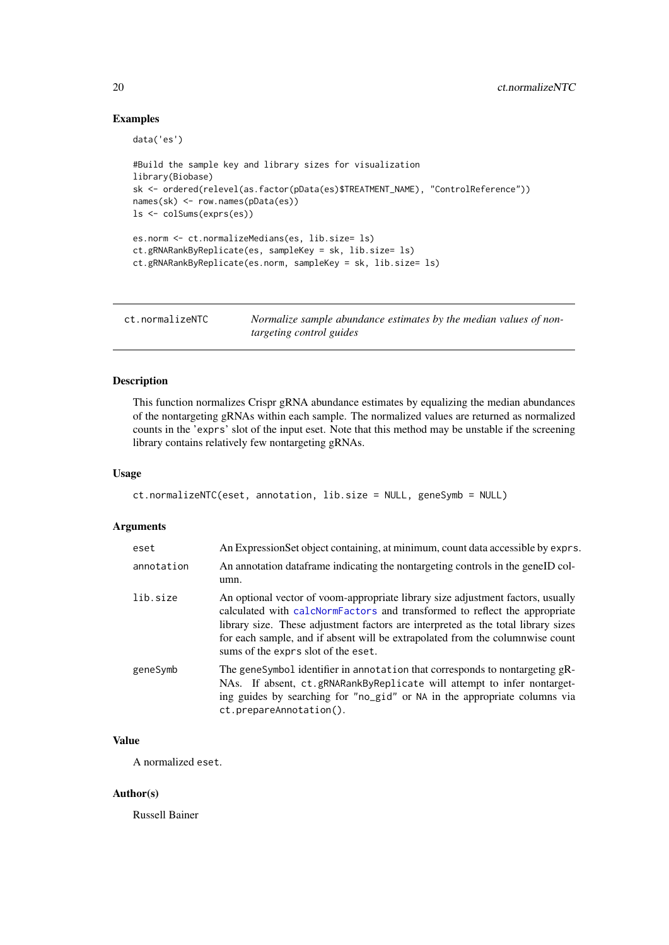#### Examples

```
data('es')
#Build the sample key and library sizes for visualization
library(Biobase)
sk <- ordered(relevel(as.factor(pData(es)$TREATMENT_NAME), "ControlReference"))
names(sk) <- row.names(pData(es))
ls <- colSums(exprs(es))
es.norm <- ct.normalizeMedians(es, lib.size= ls)
ct.gRNARankByReplicate(es, sampleKey = sk, lib.size= ls)
ct.gRNARankByReplicate(es.norm, sampleKey = sk, lib.size= ls)
```
<span id="page-19-1"></span>ct.normalizeNTC *Normalize sample abundance estimates by the median values of nontargeting control guides*

### Description

This function normalizes Crispr gRNA abundance estimates by equalizing the median abundances of the nontargeting gRNAs within each sample. The normalized values are returned as normalized counts in the 'exprs' slot of the input eset. Note that this method may be unstable if the screening library contains relatively few nontargeting gRNAs.

# Usage

```
ct.normalizeNTC(eset, annotation, lib.size = NULL, geneSymb = NULL)
```
# Arguments

| eset       | An Expression Set object containing, at minimum, count data accessible by exprs.                                                                                                                                                                                                                                                                                           |
|------------|----------------------------------------------------------------------------------------------------------------------------------------------------------------------------------------------------------------------------------------------------------------------------------------------------------------------------------------------------------------------------|
| annotation | An annotation data frame indicating the nontargeting controls in the geneID col-<br>umn.                                                                                                                                                                                                                                                                                   |
| lib.size   | An optional vector of voom-appropriate library size adjustment factors, usually<br>calculated with calcNormFactors and transformed to reflect the appropriate<br>library size. These adjustment factors are interpreted as the total library sizes<br>for each sample, and if absent will be extrapolated from the columnwise count<br>sums of the exprs slot of the eset. |
| geneSymb   | The geneSymbol identifier in annotation that corresponds to nontargeting gR-<br>NAs. If absent, ct.gRNARankByReplicate will attempt to infer nontarget-<br>ing guides by searching for "no_gid" or NA in the appropriate columns via<br>ct.prepareAnnotation().                                                                                                            |

# Value

A normalized eset.

#### Author(s)

Russell Bainer

<span id="page-19-0"></span>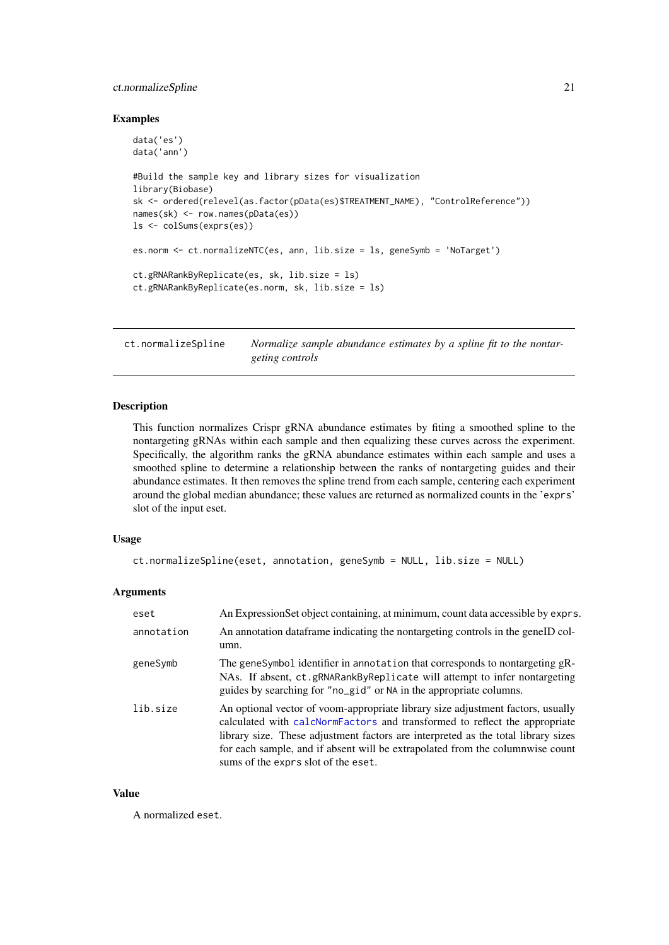#### <span id="page-20-0"></span>ct.normalizeSpline 21

#### Examples

```
data('es')
data('ann')
#Build the sample key and library sizes for visualization
library(Biobase)
sk <- ordered(relevel(as.factor(pData(es)$TREATMENT_NAME), "ControlReference"))
names(sk) <- row.names(pData(es))
ls <- colSums(exprs(es))
es.norm <- ct.normalizeNTC(es, ann, lib.size = ls, geneSymb = 'NoTarget')
ct.gRNARankByReplicate(es, sk, lib.size = ls)
ct.gRNARankByReplicate(es.norm, sk, lib.size = ls)
```
<span id="page-20-1"></span>ct.normalizeSpline *Normalize sample abundance estimates by a spline fit to the nontargeting controls*

#### Description

This function normalizes Crispr gRNA abundance estimates by fiting a smoothed spline to the nontargeting gRNAs within each sample and then equalizing these curves across the experiment. Specifically, the algorithm ranks the gRNA abundance estimates within each sample and uses a smoothed spline to determine a relationship between the ranks of nontargeting guides and their abundance estimates. It then removes the spline trend from each sample, centering each experiment around the global median abundance; these values are returned as normalized counts in the 'exprs' slot of the input eset.

# Usage

```
ct.normalizeSpline(eset, annotation, geneSymb = NULL, lib.size = NULL)
```
#### Arguments

| eset       | An ExpressionSet object containing, at minimum, count data accessible by exprs.                                                                                                                                                                                                                                                                                            |
|------------|----------------------------------------------------------------------------------------------------------------------------------------------------------------------------------------------------------------------------------------------------------------------------------------------------------------------------------------------------------------------------|
| annotation | An annotation data frame indicating the nontargeting controls in the geneID col-<br>umn.                                                                                                                                                                                                                                                                                   |
| geneSymb   | The geneSymbol identifier in annotation that corresponds to nontargeting gR-<br>NAs. If absent, ct.gRNARankByReplicate will attempt to infer nontargeting<br>guides by searching for "no_gid" or NA in the appropriate columns.                                                                                                                                            |
| lib.size   | An optional vector of voom-appropriate library size adjustment factors, usually<br>calculated with calcNormFactors and transformed to reflect the appropriate<br>library size. These adjustment factors are interpreted as the total library sizes<br>for each sample, and if absent will be extrapolated from the columnwise count<br>sums of the exprs slot of the eset. |

# Value

A normalized eset.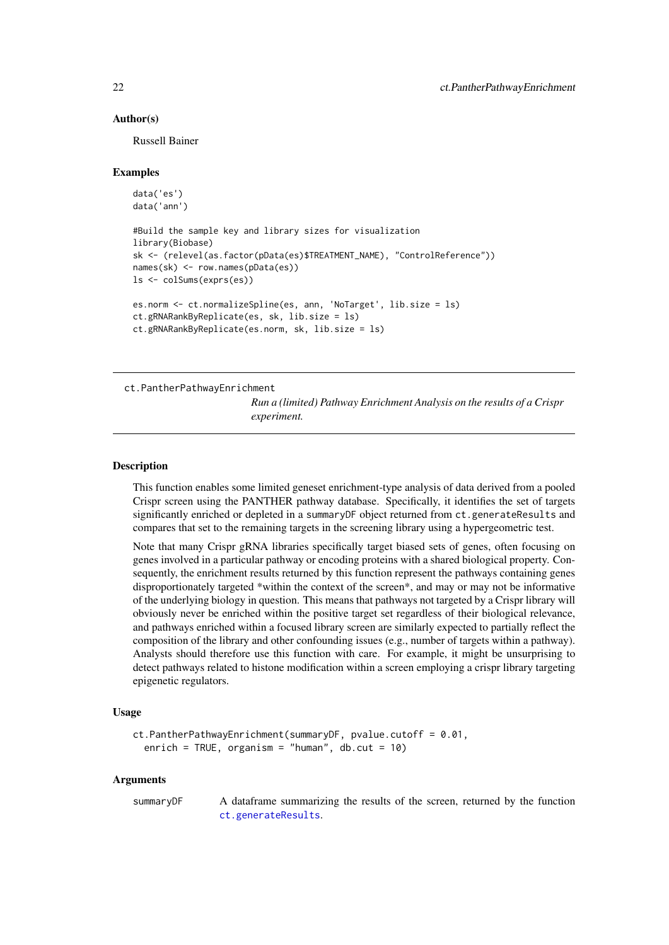#### <span id="page-21-0"></span>Author(s)

Russell Bainer

#### Examples

```
data('es')
data('ann')
#Build the sample key and library sizes for visualization
library(Biobase)
sk <- (relevel(as.factor(pData(es)$TREATMENT_NAME), "ControlReference"))
names(sk) <- row.names(pData(es))
ls <- colSums(exprs(es))
es.norm <- ct.normalizeSpline(es, ann, 'NoTarget', lib.size = ls)
ct.gRNARankByReplicate(es, sk, lib.size = ls)
```

```
ct.gRNARankByReplicate(es.norm, sk, lib.size = ls)
```
ct.PantherPathwayEnrichment

*Run a (limited) Pathway Enrichment Analysis on the results of a Crispr experiment.*

#### **Description**

This function enables some limited geneset enrichment-type analysis of data derived from a pooled Crispr screen using the PANTHER pathway database. Specifically, it identifies the set of targets significantly enriched or depleted in a summaryDF object returned from ct.generateResults and compares that set to the remaining targets in the screening library using a hypergeometric test.

Note that many Crispr gRNA libraries specifically target biased sets of genes, often focusing on genes involved in a particular pathway or encoding proteins with a shared biological property. Consequently, the enrichment results returned by this function represent the pathways containing genes disproportionately targeted \*within the context of the screen\*, and may or may not be informative of the underlying biology in question. This means that pathways not targeted by a Crispr library will obviously never be enriched within the positive target set regardless of their biological relevance, and pathways enriched within a focused library screen are similarly expected to partially reflect the composition of the library and other confounding issues (e.g., number of targets within a pathway). Analysts should therefore use this function with care. For example, it might be unsurprising to detect pathways related to histone modification within a screen employing a crispr library targeting epigenetic regulators.

# Usage

```
ct.PantherPathwayEnrichment(summaryDF, pvalue.cutoff = 0.01,
  enrich = TRUE, organism = "human", db.cut = 10)
```
## Arguments

summaryDF A dataframe summarizing the results of the screen, returned by the function [ct.generateResults](#page-7-1).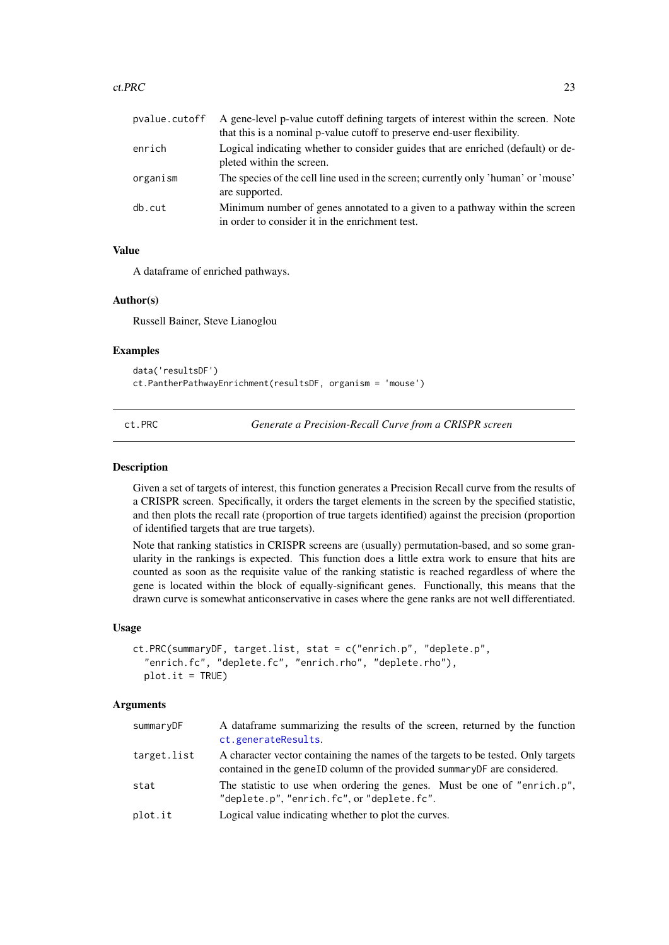#### <span id="page-22-0"></span>ct.PRC 23

| pvalue.cutoff | A gene-level p-value cutoff defining targets of interest within the screen. Note<br>that this is a nominal p-value cutoff to preserve end-user flexibility. |
|---------------|-------------------------------------------------------------------------------------------------------------------------------------------------------------|
| enrich        | Logical indicating whether to consider guides that are enriched (default) or de-<br>pleted within the screen.                                               |
| organism      | The species of the cell line used in the screen; currently only 'human' or 'mouse'<br>are supported.                                                        |
| db.cut        | Minimum number of genes annotated to a given to a pathway within the screen<br>in order to consider it in the enrichment test.                              |

# Value

A dataframe of enriched pathways.

# Author(s)

Russell Bainer, Steve Lianoglou

# Examples

```
data('resultsDF')
ct.PantherPathwayEnrichment(resultsDF, organism = 'mouse')
```
ct.PRC *Generate a Precision-Recall Curve from a CRISPR screen*

#### Description

Given a set of targets of interest, this function generates a Precision Recall curve from the results of a CRISPR screen. Specifically, it orders the target elements in the screen by the specified statistic, and then plots the recall rate (proportion of true targets identified) against the precision (proportion of identified targets that are true targets).

Note that ranking statistics in CRISPR screens are (usually) permutation-based, and so some granularity in the rankings is expected. This function does a little extra work to ensure that hits are counted as soon as the requisite value of the ranking statistic is reached regardless of where the gene is located within the block of equally-significant genes. Functionally, this means that the drawn curve is somewhat anticonservative in cases where the gene ranks are not well differentiated.

#### Usage

```
ct.PRC(summaryDF, target.list, stat = c("enrich.p", "deplete.p",
  "enrich.fc", "deplete.fc", "enrich.rho", "deplete.rho"),
 plot.it = TRUE)
```

| summaryDF   | A dataframe summarizing the results of the screen, returned by the function<br>ct.generateResults.                                                              |
|-------------|-----------------------------------------------------------------------------------------------------------------------------------------------------------------|
| target.list | A character vector containing the names of the targets to be tested. Only targets<br>contained in the general column of the provided summary DF are considered. |
| stat        | The statistic to use when ordering the genes. Must be one of "enrich.p",<br>"deplete.p", "enrich.fc", or "deplete.fc".                                          |
| plot.it     | Logical value indicating whether to plot the curves.                                                                                                            |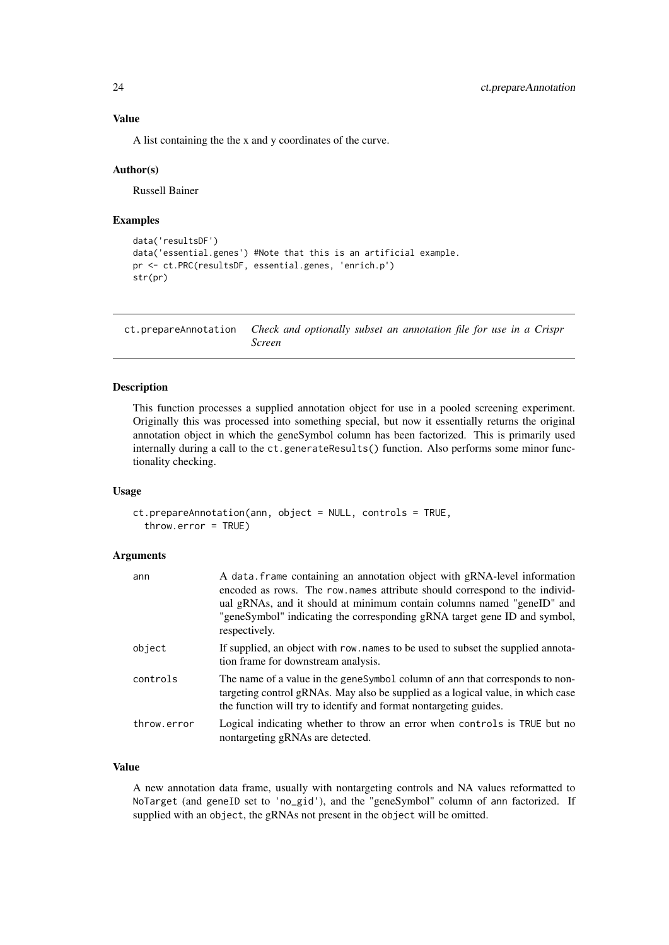#### Value

A list containing the the x and y coordinates of the curve.

#### Author(s)

Russell Bainer

#### Examples

```
data('resultsDF')
data('essential.genes') #Note that this is an artificial example.
pr <- ct.PRC(resultsDF, essential.genes, 'enrich.p')
str(pr)
```
<span id="page-23-1"></span>ct.prepareAnnotation *Check and optionally subset an annotation file for use in a Crispr Screen*

# Description

This function processes a supplied annotation object for use in a pooled screening experiment. Originally this was processed into something special, but now it essentially returns the original annotation object in which the geneSymbol column has been factorized. This is primarily used internally during a call to the ct.generateResults() function. Also performs some minor functionality checking.

#### Usage

```
ct.prepareAnnotation(ann, object = NULL, controls = TRUE,
  throw.error = TRUE)
```
#### Arguments

| ann         | A data frame containing an annotation object with gRNA-level information<br>encoded as rows. The row names attribute should correspond to the individ-<br>ual gRNAs, and it should at minimum contain columns named "geneID" and<br>"geneSymbol" indicating the corresponding gRNA target gene ID and symbol,<br>respectively. |
|-------------|--------------------------------------------------------------------------------------------------------------------------------------------------------------------------------------------------------------------------------------------------------------------------------------------------------------------------------|
| object      | If supplied, an object with row, names to be used to subset the supplied annota-<br>tion frame for downstream analysis.                                                                                                                                                                                                        |
| controls    | The name of a value in the genesymbol column of ann that corresponds to non-<br>targeting control gRNAs. May also be supplied as a logical value, in which case<br>the function will try to identify and format nontargeting guides.                                                                                           |
| throw.error | Logical indicating whether to throw an error when controls is TRUE but no<br>nontargeting gRNAs are detected.                                                                                                                                                                                                                  |

# Value

A new annotation data frame, usually with nontargeting controls and NA values reformatted to NoTarget (and geneID set to 'no\_gid'), and the "geneSymbol" column of ann factorized. If supplied with an object, the gRNAs not present in the object will be omitted.

<span id="page-23-0"></span>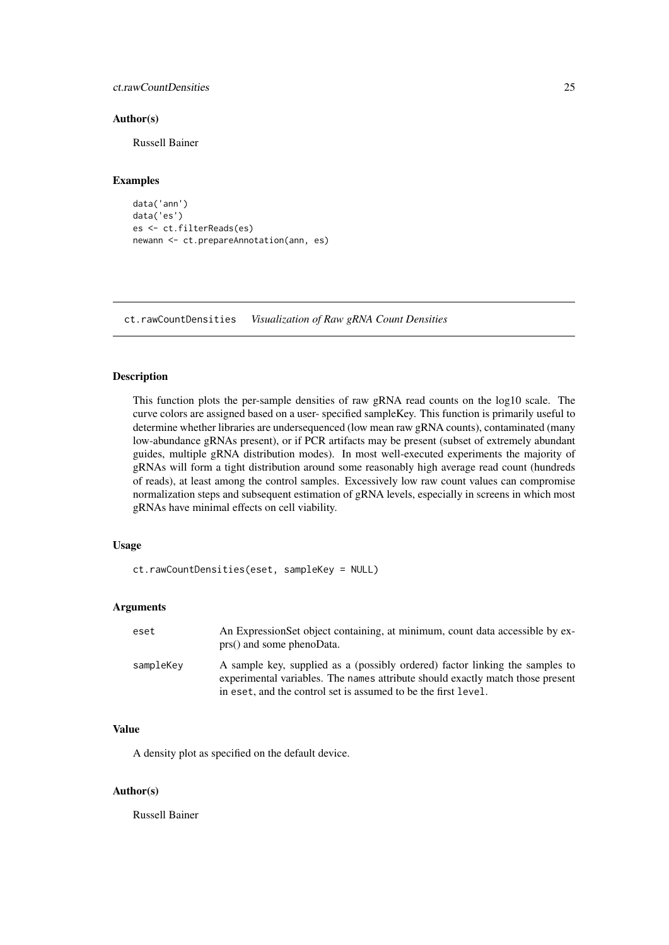#### <span id="page-24-0"></span>ct.rawCountDensities 25

#### Author(s)

Russell Bainer

# Examples

```
data('ann')
data('es')
es <- ct.filterReads(es)
newann <- ct.prepareAnnotation(ann, es)
```
ct.rawCountDensities *Visualization of Raw gRNA Count Densities*

#### Description

This function plots the per-sample densities of raw gRNA read counts on the log10 scale. The curve colors are assigned based on a user- specified sampleKey. This function is primarily useful to determine whether libraries are undersequenced (low mean raw gRNA counts), contaminated (many low-abundance gRNAs present), or if PCR artifacts may be present (subset of extremely abundant guides, multiple gRNA distribution modes). In most well-executed experiments the majority of gRNAs will form a tight distribution around some reasonably high average read count (hundreds of reads), at least among the control samples. Excessively low raw count values can compromise normalization steps and subsequent estimation of gRNA levels, especially in screens in which most gRNAs have minimal effects on cell viability.

# Usage

ct.rawCountDensities(eset, sampleKey = NULL)

# Arguments

| eset      | An Expression Set object containing, at minimum, count data accessible by ex-<br>prs() and some phenoData.                                                                                                                       |
|-----------|----------------------------------------------------------------------------------------------------------------------------------------------------------------------------------------------------------------------------------|
| sampleKey | A sample key, supplied as a (possibly ordered) factor linking the samples to<br>experimental variables. The names attribute should exactly match those present<br>in eset, and the control set is assumed to be the first level. |

# Value

A density plot as specified on the default device.

# Author(s)

Russell Bainer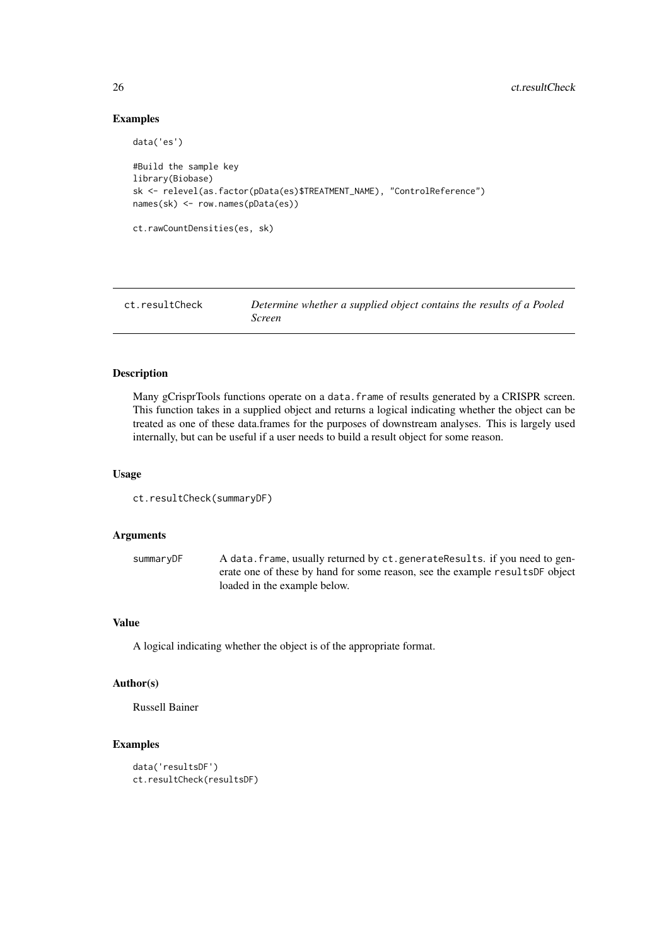# Examples

```
data('es')
#Build the sample key
library(Biobase)
sk <- relevel(as.factor(pData(es)$TREATMENT_NAME), "ControlReference")
names(sk) <- row.names(pData(es))
ct.rawCountDensities(es, sk)
```

| ct.resultCheck | Determine whether a supplied object contains the results of a Pooled<br>Screen |
|----------------|--------------------------------------------------------------------------------|
|                |                                                                                |

# Description

Many gCrisprTools functions operate on a data. frame of results generated by a CRISPR screen. This function takes in a supplied object and returns a logical indicating whether the object can be treated as one of these data.frames for the purposes of downstream analyses. This is largely used internally, but can be useful if a user needs to build a result object for some reason.

### Usage

```
ct.resultCheck(summaryDF)
```
# Arguments

summaryDF A data.frame, usually returned by ct.generateResults. if you need to generate one of these by hand for some reason, see the example resultsDF object loaded in the example below.

# Value

A logical indicating whether the object is of the appropriate format.

# Author(s)

Russell Bainer

```
data('resultsDF')
ct.resultCheck(resultsDF)
```
<span id="page-25-0"></span>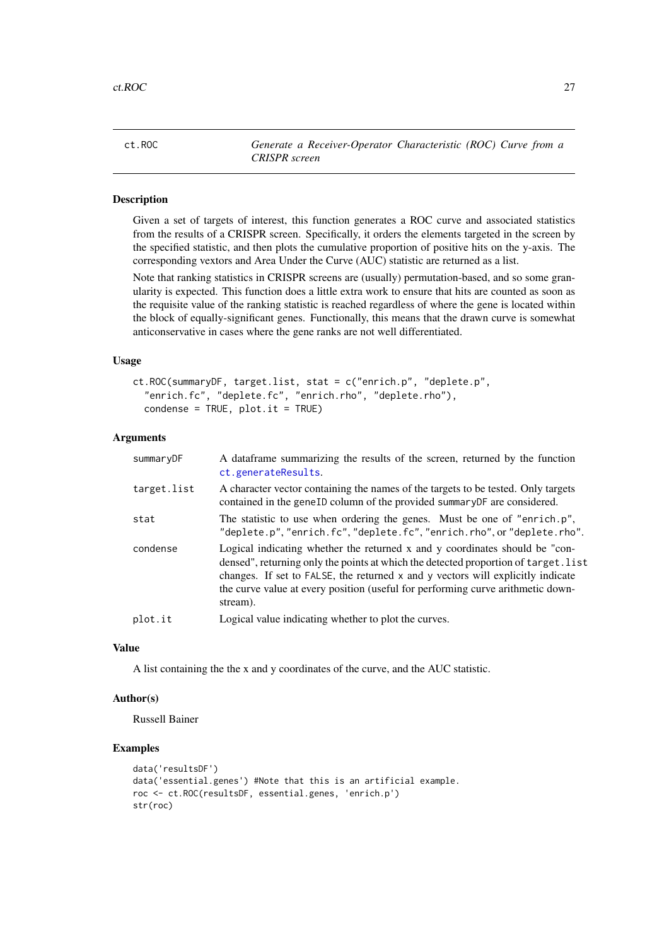<span id="page-26-0"></span>ct.ROC *Generate a Receiver-Operator Characteristic (ROC) Curve from a CRISPR screen*

#### Description

Given a set of targets of interest, this function generates a ROC curve and associated statistics from the results of a CRISPR screen. Specifically, it orders the elements targeted in the screen by the specified statistic, and then plots the cumulative proportion of positive hits on the y-axis. The corresponding vextors and Area Under the Curve (AUC) statistic are returned as a list.

Note that ranking statistics in CRISPR screens are (usually) permutation-based, and so some granularity is expected. This function does a little extra work to ensure that hits are counted as soon as the requisite value of the ranking statistic is reached regardless of where the gene is located within the block of equally-significant genes. Functionally, this means that the drawn curve is somewhat anticonservative in cases where the gene ranks are not well differentiated.

# Usage

```
ct.ROC(summaryDF, target.list, stat = c("enrich.p", "deplete.p",
  "enrich.fc", "deplete.fc", "enrich.rho", "deplete.rho"),
  condense = TRUE, plot.it = TRUE
```
# Arguments

| summaryDF   | A dataframe summarizing the results of the screen, returned by the function<br>ct.generateResults.                                                                                                                                                                                                                                                   |
|-------------|------------------------------------------------------------------------------------------------------------------------------------------------------------------------------------------------------------------------------------------------------------------------------------------------------------------------------------------------------|
| target.list | A character vector containing the names of the targets to be tested. Only targets<br>contained in the geneID column of the provided summary DF are considered.                                                                                                                                                                                       |
| stat        | The statistic to use when ordering the genes. Must be one of "enrich.p",<br>"deplete.p", "enrich.fc", "deplete.fc", "enrich.rho", or "deplete.rho".                                                                                                                                                                                                  |
| condense    | Logical indicating whether the returned x and y coordinates should be "con-<br>densed", returning only the points at which the detected proportion of target. list<br>changes. If set to FALSE, the returned x and y vectors will explicitly indicate<br>the curve value at every position (useful for performing curve arithmetic down-<br>stream). |
| plot.it     | Logical value indicating whether to plot the curves.                                                                                                                                                                                                                                                                                                 |
|             |                                                                                                                                                                                                                                                                                                                                                      |

#### Value

A list containing the the x and y coordinates of the curve, and the AUC statistic.

### Author(s)

Russell Bainer

```
data('resultsDF')
data('essential.genes') #Note that this is an artificial example.
roc <- ct.ROC(resultsDF, essential.genes, 'enrich.p')
str(roc)
```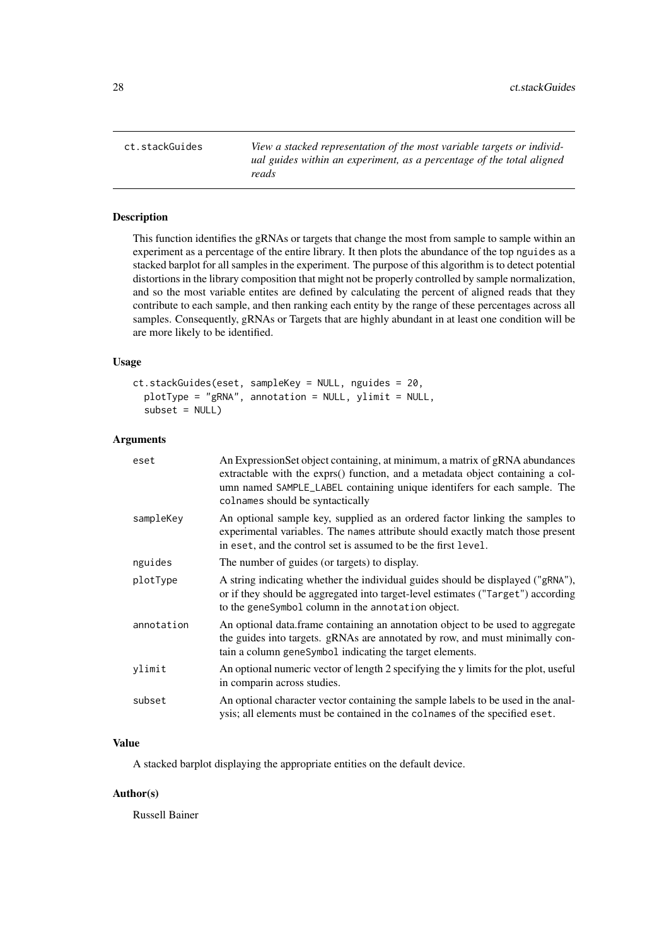<span id="page-27-0"></span>ct.stackGuides *View a stacked representation of the most variable targets or individual guides within an experiment, as a percentage of the total aligned reads*

# Description

This function identifies the gRNAs or targets that change the most from sample to sample within an experiment as a percentage of the entire library. It then plots the abundance of the top nguides as a stacked barplot for all samples in the experiment. The purpose of this algorithm is to detect potential distortions in the library composition that might not be properly controlled by sample normalization, and so the most variable entites are defined by calculating the percent of aligned reads that they contribute to each sample, and then ranking each entity by the range of these percentages across all samples. Consequently, gRNAs or Targets that are highly abundant in at least one condition will be are more likely to be identified.

# Usage

```
ct.stackGuides(eset, sampleKey = NULL, nguides = 20,
 plotType = "gRNA", annotation = NULL, ylimit = NULL,
  subset = NULL
```
#### Arguments

| eset       | An Expression Set object containing, at minimum, a matrix of gRNA abundances<br>extractable with the exprs() function, and a metadata object containing a col-<br>umn named SAMPLE_LABEL containing unique identifers for each sample. The<br>colnames should be syntactically |
|------------|--------------------------------------------------------------------------------------------------------------------------------------------------------------------------------------------------------------------------------------------------------------------------------|
| sampleKey  | An optional sample key, supplied as an ordered factor linking the samples to<br>experimental variables. The names attribute should exactly match those present<br>in eset, and the control set is assumed to be the first level.                                               |
| nguides    | The number of guides (or targets) to display.                                                                                                                                                                                                                                  |
| plotType   | A string indicating whether the individual guides should be displayed ("gRNA"),<br>or if they should be aggregated into target-level estimates ("Target") according<br>to the geneSymbol column in the annotation object.                                                      |
| annotation | An optional data.frame containing an annotation object to be used to aggregate<br>the guides into targets. gRNAs are annotated by row, and must minimally con-<br>tain a column geneSymbol indicating the target elements.                                                     |
| ylimit     | An optional numeric vector of length 2 specifying the y limits for the plot, useful<br>in comparin across studies.                                                                                                                                                             |
| subset     | An optional character vector containing the sample labels to be used in the anal-<br>ysis; all elements must be contained in the colnames of the specified eset.                                                                                                               |

#### Value

A stacked barplot displaying the appropriate entities on the default device.

# Author(s)

Russell Bainer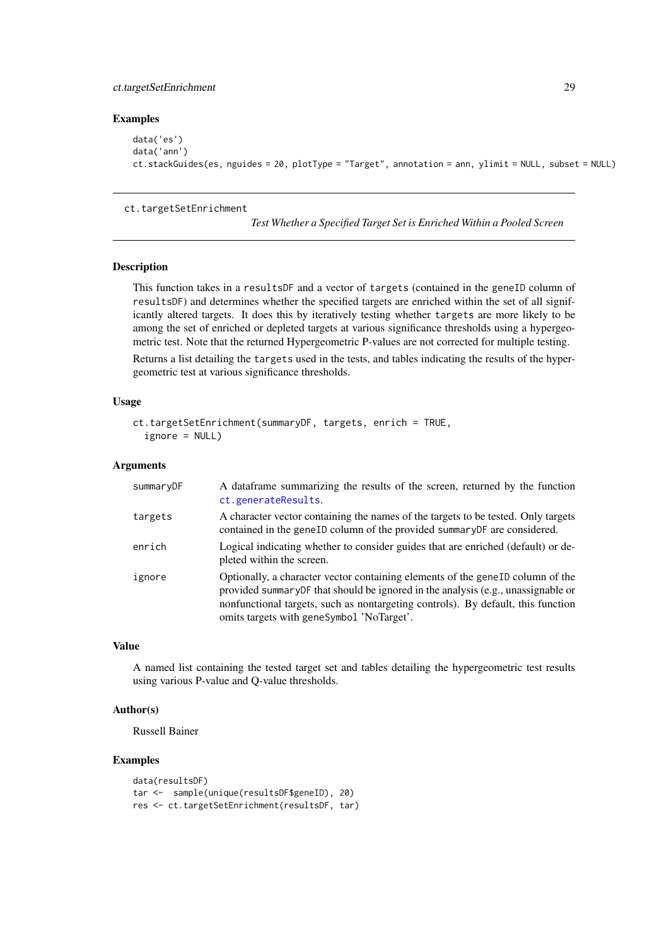#### <span id="page-28-0"></span>ct.targetSetEnrichment 29

# Examples

```
data('es')
data('ann')
ct.stackGuides(es, nguides = 20, plotType = "Target", annotation = ann, ylimit = NULL, subset = NULL)
```
#### ct.targetSetEnrichment

*Test Whether a Specified Target Set is Enriched Within a Pooled Screen*

#### Description

This function takes in a resultsDF and a vector of targets (contained in the geneID column of resultsDF) and determines whether the specified targets are enriched within the set of all significantly altered targets. It does this by iteratively testing whether targets are more likely to be among the set of enriched or depleted targets at various significance thresholds using a hypergeometric test. Note that the returned Hypergeometric P-values are not corrected for multiple testing.

Returns a list detailing the targets used in the tests, and tables indicating the results of the hypergeometric test at various significance thresholds.

# Usage

```
ct.targetSetEnrichment(summaryDF, targets, enrich = TRUE,
  ignore = NULL)
```
#### Arguments

| summaryDF | A dataframe summarizing the results of the screen, returned by the function<br>ct.generateResults.                                                                                                                                                                                                               |
|-----------|------------------------------------------------------------------------------------------------------------------------------------------------------------------------------------------------------------------------------------------------------------------------------------------------------------------|
| targets   | A character vector containing the names of the targets to be tested. Only targets<br>contained in the geneID column of the provided summaryDF are considered.                                                                                                                                                    |
| enrich    | Logical indicating whether to consider guides that are enriched (default) or de-<br>pleted within the screen.                                                                                                                                                                                                    |
| ignore    | Optionally, a character vector containing elements of the gene <sub>ID</sub> column of the<br>provided summary DF that should be ignored in the analysis (e.g., unassignable or<br>nonfunctional targets, such as nontargeting controls). By default, this function<br>omits targets with geneSymbol 'NoTarget'. |

#### Value

A named list containing the tested target set and tables detailing the hypergeometric test results using various P-value and Q-value thresholds.

# Author(s)

Russell Bainer

```
data(resultsDF)
tar <- sample(unique(resultsDF$geneID), 20)
res <- ct.targetSetEnrichment(resultsDF, tar)
```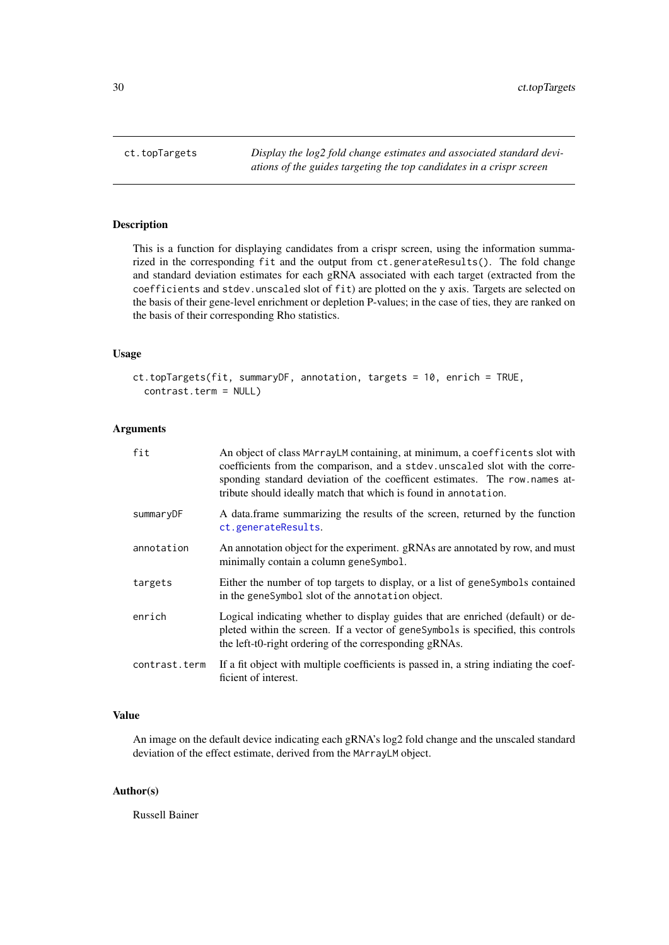<span id="page-29-0"></span>

# Description

This is a function for displaying candidates from a crispr screen, using the information summarized in the corresponding fit and the output from ct.generateResults(). The fold change and standard deviation estimates for each gRNA associated with each target (extracted from the coefficients and stdev.unscaled slot of fit) are plotted on the y axis. Targets are selected on the basis of their gene-level enrichment or depletion P-values; in the case of ties, they are ranked on the basis of their corresponding Rho statistics.

# Usage

```
ct.topTargets(fit, summaryDF, annotation, targets = 10, enrich = TRUE,
  contrast.term = NULL)
```
# Arguments

| fit           | An object of class MArrayLM containing, at minimum, a coefficents slot with<br>coefficients from the comparison, and a stdev. unscaled slot with the corre-<br>sponding standard deviation of the coefficent estimates. The row names at-<br>tribute should ideally match that which is found in annotation. |
|---------------|--------------------------------------------------------------------------------------------------------------------------------------------------------------------------------------------------------------------------------------------------------------------------------------------------------------|
| summaryDF     | A data frame summarizing the results of the screen, returned by the function<br>ct.generateResults.                                                                                                                                                                                                          |
| annotation    | An annotation object for the experiment. gRNAs are annotated by row, and must<br>minimally contain a column geneSymbol.                                                                                                                                                                                      |
| targets       | Either the number of top targets to display, or a list of genesymbols contained<br>in the geneSymbol slot of the annotation object.                                                                                                                                                                          |
| enrich        | Logical indicating whether to display guides that are enriched (default) or de-<br>pleted within the screen. If a vector of geneSymbols is specified, this controls<br>the left-t0-right ordering of the corresponding gRNAs.                                                                                |
| contrast.term | If a fit object with multiple coefficients is passed in, a string indiating the coef-<br>ficient of interest.                                                                                                                                                                                                |

# Value

An image on the default device indicating each gRNA's log2 fold change and the unscaled standard deviation of the effect estimate, derived from the MArrayLM object.

# Author(s)

Russell Bainer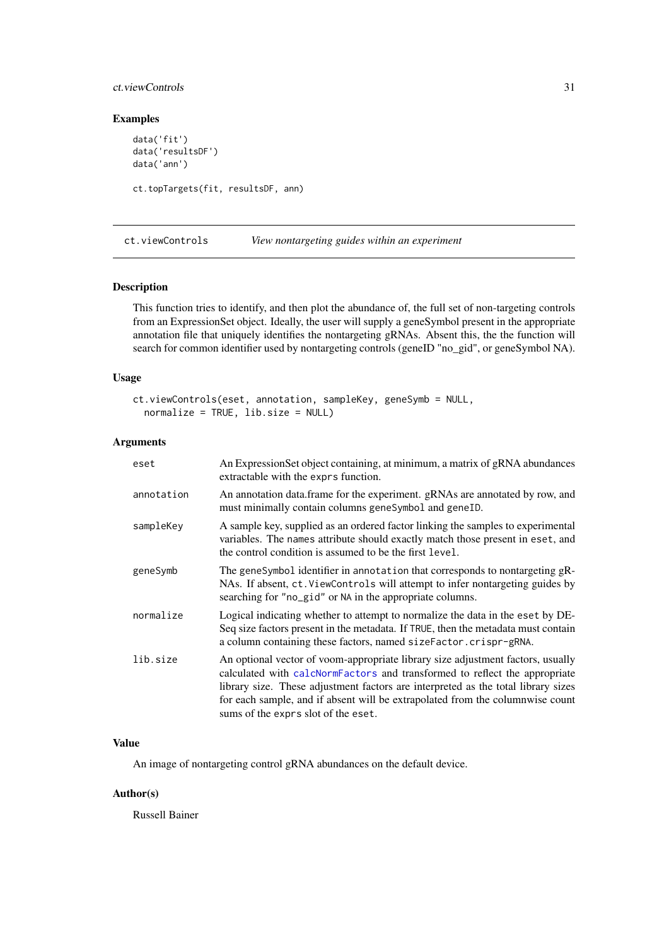#### <span id="page-30-0"></span>ct.viewControls 31

# Examples

```
data('fit')
data('resultsDF')
data('ann')
ct.topTargets(fit, resultsDF, ann)
```
<span id="page-30-1"></span>ct.viewControls *View nontargeting guides within an experiment*

# Description

This function tries to identify, and then plot the abundance of, the full set of non-targeting controls from an ExpressionSet object. Ideally, the user will supply a geneSymbol present in the appropriate annotation file that uniquely identifies the nontargeting gRNAs. Absent this, the the function will search for common identifier used by nontargeting controls (geneID "no\_gid", or geneSymbol NA).

# Usage

```
ct.viewControls(eset, annotation, sampleKey, geneSymb = NULL,
 normalize = TRUE, lib.size = NULL)
```
# Arguments

| eset       | An Expression Set object containing, at minimum, a matrix of gRNA abundances<br>extractable with the exprs function.                                                                                                                                                                                                                                                       |
|------------|----------------------------------------------------------------------------------------------------------------------------------------------------------------------------------------------------------------------------------------------------------------------------------------------------------------------------------------------------------------------------|
| annotation | An annotation data.frame for the experiment. gRNAs are annotated by row, and<br>must minimally contain columns geneSymbol and geneID.                                                                                                                                                                                                                                      |
| sampleKey  | A sample key, supplied as an ordered factor linking the samples to experimental<br>variables. The names attribute should exactly match those present in eset, and<br>the control condition is assumed to be the first level.                                                                                                                                               |
| geneSymb   | The geneSymbol identifier in annotation that corresponds to nontargeting gR-<br>NAs. If absent, ct. ViewControls will attempt to infer nontargeting guides by<br>searching for "no_gid" or NA in the appropriate columns.                                                                                                                                                  |
| normalize  | Logical indicating whether to attempt to normalize the data in the eset by DE-<br>Seq size factors present in the metadata. If TRUE, then the metadata must contain<br>a column containing these factors, named sizeFactor.crispr-gRNA.                                                                                                                                    |
| lib.size   | An optional vector of voom-appropriate library size adjustment factors, usually<br>calculated with calcNormFactors and transformed to reflect the appropriate<br>library size. These adjustment factors are interpreted as the total library sizes<br>for each sample, and if absent will be extrapolated from the columnwise count<br>sums of the exprs slot of the eset. |

# Value

An image of nontargeting control gRNA abundances on the default device.

# Author(s)

Russell Bainer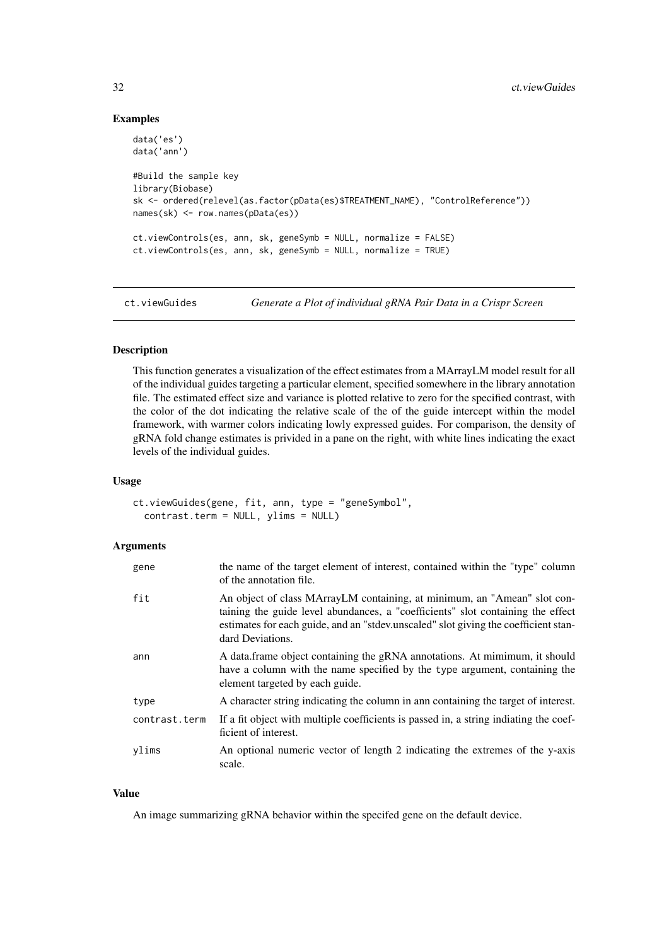# Examples

```
data('es')
data('ann')
#Build the sample key
library(Biobase)
sk <- ordered(relevel(as.factor(pData(es)$TREATMENT_NAME), "ControlReference"))
names(sk) <- row.names(pData(es))
ct.viewControls(es, ann, sk, geneSymb = NULL, normalize = FALSE)
ct.viewControls(es, ann, sk, geneSymb = NULL, normalize = TRUE)
```
ct.viewGuides *Generate a Plot of individual gRNA Pair Data in a Crispr Screen*

# Description

This function generates a visualization of the effect estimates from a MArrayLM model result for all of the individual guides targeting a particular element, specified somewhere in the library annotation file. The estimated effect size and variance is plotted relative to zero for the specified contrast, with the color of the dot indicating the relative scale of the of the guide intercept within the model framework, with warmer colors indicating lowly expressed guides. For comparison, the density of gRNA fold change estimates is privided in a pane on the right, with white lines indicating the exact levels of the individual guides.

#### Usage

ct.viewGuides(gene, fit, ann, type = "geneSymbol", contrast.term = NULL, ylims = NULL)

#### Arguments

| gene          | the name of the target element of interest, contained within the "type" column<br>of the annotation file.                                                                                                                                                              |
|---------------|------------------------------------------------------------------------------------------------------------------------------------------------------------------------------------------------------------------------------------------------------------------------|
| fit           | An object of class MArrayLM containing, at minimum, an "Amean" slot con-<br>taining the guide level abundances, a "coefficients" slot containing the effect<br>estimates for each guide, and an "stdev.unscaled" slot giving the coefficient stan-<br>dard Deviations. |
| ann           | A data.frame object containing the gRNA annotations. At mimimum, it should<br>have a column with the name specified by the type argument, containing the<br>element targeted by each guide.                                                                            |
| type          | A character string indicating the column in ann containing the target of interest.                                                                                                                                                                                     |
| contrast.term | If a fit object with multiple coefficients is passed in, a string indiating the coef-<br>ficient of interest.                                                                                                                                                          |
| ylims         | An optional numeric vector of length 2 indicating the extremes of the y-axis<br>scale.                                                                                                                                                                                 |

# Value

An image summarizing gRNA behavior within the specifed gene on the default device.

<span id="page-31-0"></span>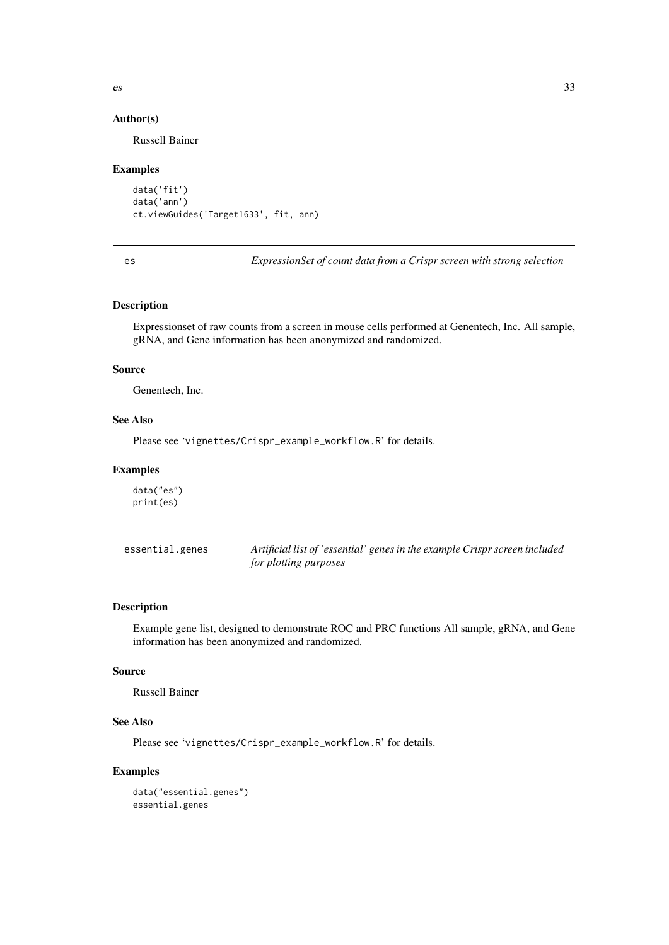<span id="page-32-0"></span>

# Author(s)

Russell Bainer

#### Examples

```
data('fit')
data('ann')
ct.viewGuides('Target1633', fit, ann)
```
es *ExpressionSet of count data from a Crispr screen with strong selection*

# Description

Expressionset of raw counts from a screen in mouse cells performed at Genentech, Inc. All sample, gRNA, and Gene information has been anonymized and randomized.

# Source

Genentech, Inc.

# See Also

Please see 'vignettes/Crispr\_example\_workflow.R' for details.

# Examples

data("es") print(es)

| essential.genes | Artificial list of 'essential' genes in the example Crispr screen included |
|-----------------|----------------------------------------------------------------------------|
|                 | for plotting purposes                                                      |

# Description

Example gene list, designed to demonstrate ROC and PRC functions All sample, gRNA, and Gene information has been anonymized and randomized.

# Source

Russell Bainer

# See Also

Please see 'vignettes/Crispr\_example\_workflow.R' for details.

```
data("essential.genes")
essential.genes
```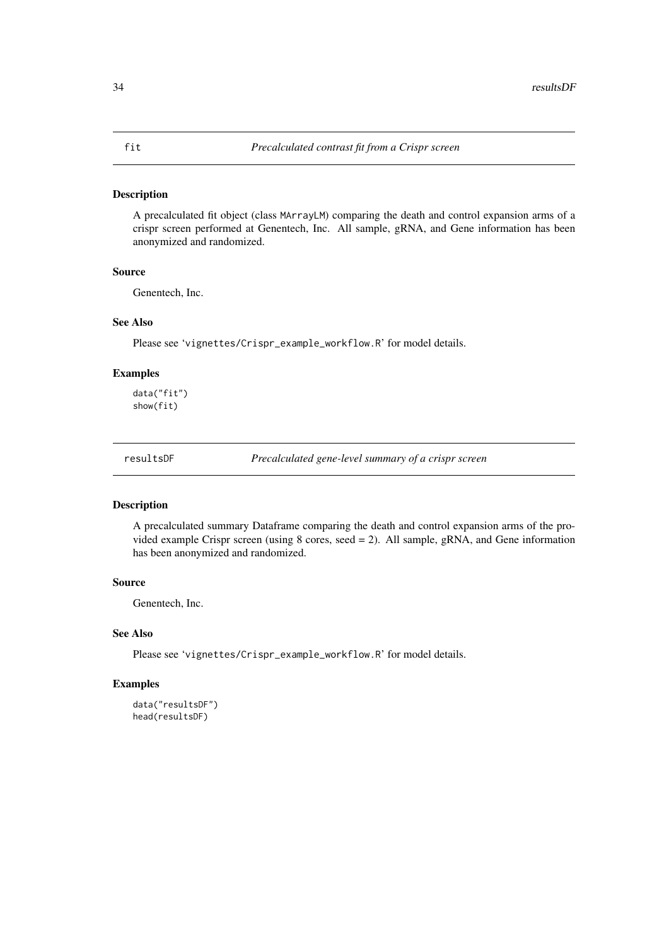# <span id="page-33-0"></span>Description

A precalculated fit object (class MArrayLM) comparing the death and control expansion arms of a crispr screen performed at Genentech, Inc. All sample, gRNA, and Gene information has been anonymized and randomized.

# Source

Genentech, Inc.

# See Also

Please see 'vignettes/Crispr\_example\_workflow.R' for model details.

# Examples

data("fit") show(fit)

resultsDF *Precalculated gene-level summary of a crispr screen*

# Description

A precalculated summary Dataframe comparing the death and control expansion arms of the provided example Crispr screen (using 8 cores, seed = 2). All sample, gRNA, and Gene information has been anonymized and randomized.

# Source

Genentech, Inc.

# See Also

Please see 'vignettes/Crispr\_example\_workflow.R' for model details.

```
data("resultsDF")
head(resultsDF)
```